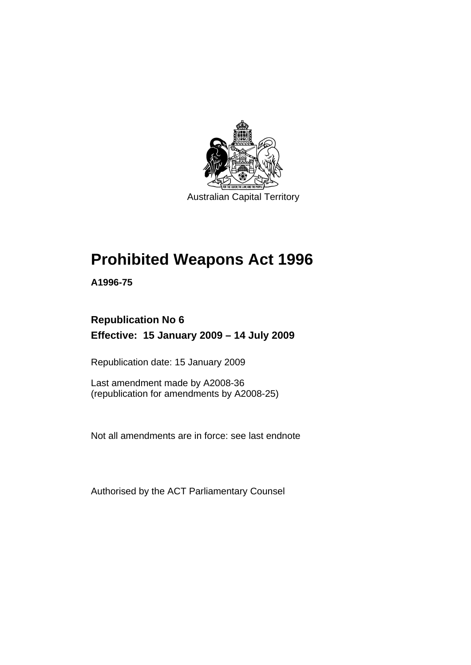

# **[Prohibited Weapons Act 1996](#page-6-0)**

**A1996-75** 

## **Republication No 6 Effective: 15 January 2009 – 14 July 2009**

Republication date: 15 January 2009

Last amendment made by A2008-36 (republication for amendments by A2008-25)

Not all amendments are in force: see last endnote

Authorised by the ACT Parliamentary Counsel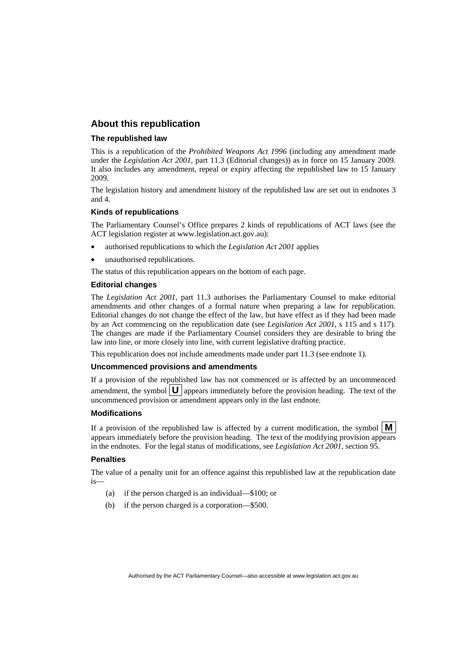### **About this republication**

#### **The republished law**

This is a republication of the *Prohibited Weapons Act 1996* (including any amendment made under the *Legislation Act 2001*, part 11.3 (Editorial changes)) as in force on 15 January 2009*.*  It also includes any amendment, repeal or expiry affecting the republished law to 15 January 2009.

The legislation history and amendment history of the republished law are set out in endnotes 3 and 4.

#### **Kinds of republications**

The Parliamentary Counsel's Office prepares 2 kinds of republications of ACT laws (see the ACT legislation register at www.legislation.act.gov.au):

- authorised republications to which the *Legislation Act 2001* applies
- unauthorised republications.

The status of this republication appears on the bottom of each page.

#### **Editorial changes**

The *Legislation Act 2001*, part 11.3 authorises the Parliamentary Counsel to make editorial amendments and other changes of a formal nature when preparing a law for republication. Editorial changes do not change the effect of the law, but have effect as if they had been made by an Act commencing on the republication date (see *Legislation Act 2001*, s 115 and s 117). The changes are made if the Parliamentary Counsel considers they are desirable to bring the law into line, or more closely into line, with current legislative drafting practice.

This republication does not include amendments made under part 11.3 (see endnote 1).

#### **Uncommenced provisions and amendments**

If a provision of the republished law has not commenced or is affected by an uncommenced amendment, the symbol  $\mathbf{U}$  appears immediately before the provision heading. The text of the uncommenced provision or amendment appears only in the last endnote.

#### **Modifications**

If a provision of the republished law is affected by a current modification, the symbol  $\mathbf{M}$ appears immediately before the provision heading. The text of the modifying provision appears in the endnotes. For the legal status of modifications, see *Legislation Act 2001*, section 95.

#### **Penalties**

The value of a penalty unit for an offence against this republished law at the republication date is—

- (a) if the person charged is an individual—\$100; or
- (b) if the person charged is a corporation—\$500.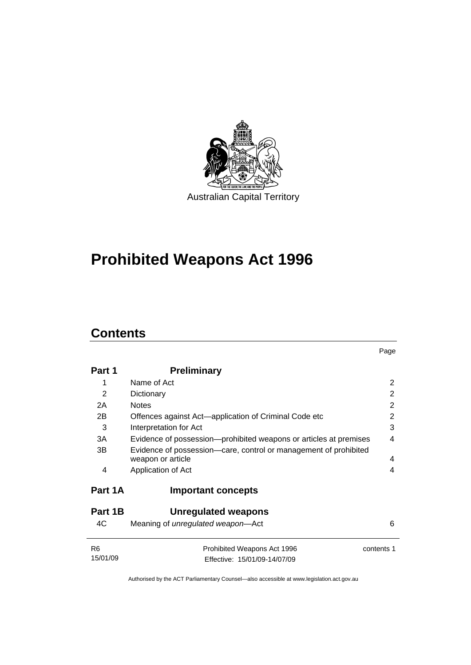

# **[Prohibited Weapons Act 1996](#page-6-0)**

## **Contents**

| Part 1         | <b>Preliminary</b>                                                                                          |                |
|----------------|-------------------------------------------------------------------------------------------------------------|----------------|
| 1              | Name of Act                                                                                                 | $\overline{2}$ |
| $\mathcal{P}$  | Dictionary                                                                                                  | 2              |
| 2A             | <b>Notes</b>                                                                                                | 2              |
| 2B             | Offences against Act—application of Criminal Code etc                                                       | $\overline{2}$ |
| 3              | Interpretation for Act                                                                                      | 3              |
| 3A             | Evidence of possession—prohibited weapons or articles at premises                                           | 4              |
| 3B<br>4        | Evidence of possession—care, control or management of prohibited<br>weapon or article<br>Application of Act | 4<br>4         |
| Part 1A        | <b>Important concepts</b>                                                                                   |                |
| Part 1B        | Unregulated weapons                                                                                         |                |
| 4C             | Meaning of <i>unregulated</i> weapon—Act                                                                    | 6              |
| R6<br>15/01/09 | Prohibited Weapons Act 1996<br>Effective: 15/01/09-14/07/09                                                 | contents 1     |
|                |                                                                                                             |                |

Page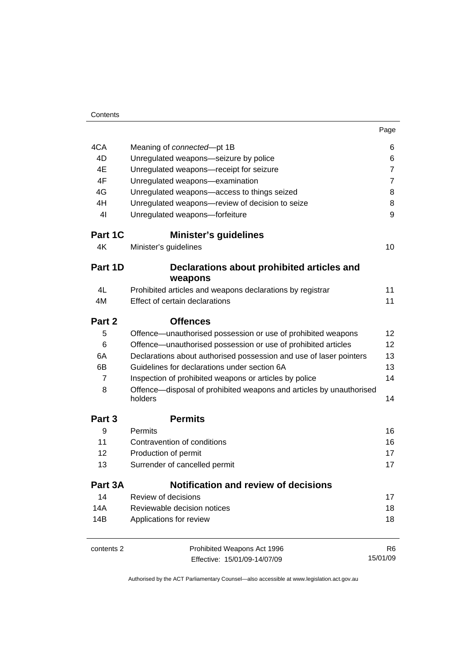| Contents       |                                                                                |                |
|----------------|--------------------------------------------------------------------------------|----------------|
|                |                                                                                | Page           |
| 4CA            | Meaning of connected-pt 1B                                                     | 6              |
| 4D             | Unregulated weapons-seizure by police                                          | 6              |
| 4E             | Unregulated weapons-receipt for seizure                                        | $\overline{7}$ |
| 4F             | Unregulated weapons-examination                                                | 7              |
| 4G             | Unregulated weapons-access to things seized                                    | 8              |
| 4H             | Unregulated weapons-review of decision to seize                                | 8              |
| 4 <sub>l</sub> | Unregulated weapons-forfeiture                                                 | 9              |
| Part 1C        | <b>Minister's guidelines</b>                                                   |                |
| 4K             | Minister's guidelines                                                          | 10             |
| Part 1D        | Declarations about prohibited articles and<br>weapons                          |                |
| 4L             | Prohibited articles and weapons declarations by registrar                      | 11             |
| 4M             | Effect of certain declarations                                                 | 11             |
| Part 2         | <b>Offences</b>                                                                |                |
| 5              | Offence—unauthorised possession or use of prohibited weapons                   | 12             |
| 6              | Offence—unauthorised possession or use of prohibited articles                  | 12             |
| 6A             | Declarations about authorised possession and use of laser pointers             | 13             |
| 6B             | Guidelines for declarations under section 6A                                   | 13             |
| $\overline{7}$ | Inspection of prohibited weapons or articles by police                         | 14             |
| 8              | Offence—disposal of prohibited weapons and articles by unauthorised<br>holders | 14             |
| Part 3         | <b>Permits</b>                                                                 |                |
| 9              | Permits                                                                        | 16             |
| 11             | Contravention of conditions                                                    | 16             |
| 12             | Production of permit                                                           | 17             |
| 13             | Surrender of cancelled permit                                                  | 17             |
| Part 3A        | Notification and review of decisions                                           |                |
| 14             | Review of decisions                                                            | 17             |
| 14A            | Reviewable decision notices                                                    | 18             |
| 14B            | Applications for review                                                        | 18             |
| contents 2     | Prohibited Weapons Act 1996                                                    | R6             |
|                | Effective: 15/01/09-14/07/09                                                   | 15/01/09       |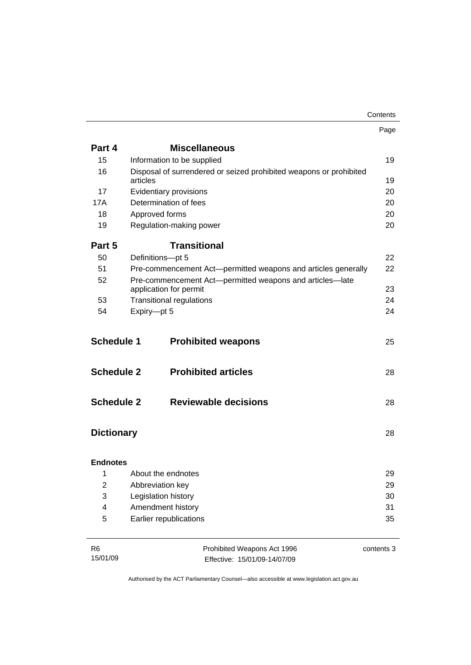|                   |             |                                                                    | Contents   |
|-------------------|-------------|--------------------------------------------------------------------|------------|
|                   |             |                                                                    | Page       |
| Part 4            |             | <b>Miscellaneous</b>                                               |            |
| 15                |             | Information to be supplied                                         | 19         |
| 16                |             | Disposal of surrendered or seized prohibited weapons or prohibited |            |
|                   | articles    |                                                                    | 19         |
| 17                |             | Evidentiary provisions                                             | 20         |
| 17A               |             | Determination of fees                                              | 20         |
| 18                |             | Approved forms                                                     | 20         |
| 19                |             | Regulation-making power                                            | 20         |
| Part 5            |             | <b>Transitional</b>                                                |            |
| 50                |             | Definitions-pt 5                                                   | 22         |
| 51                |             | Pre-commencement Act-permitted weapons and articles generally      | 22         |
| 52                |             | Pre-commencement Act-permitted weapons and articles-late           |            |
|                   |             | application for permit                                             | 23         |
| 53                |             | <b>Transitional regulations</b>                                    | 24         |
| 54                | Expiry-pt 5 |                                                                    | 24         |
| <b>Schedule 1</b> |             | <b>Prohibited weapons</b>                                          | 25         |
| <b>Schedule 2</b> |             | <b>Prohibited articles</b>                                         | 28         |
| <b>Schedule 2</b> |             | <b>Reviewable decisions</b>                                        | 28         |
| <b>Dictionary</b> |             |                                                                    | 28         |
| <b>Endnotes</b>   |             |                                                                    |            |
| 1                 |             | About the endnotes                                                 | 29         |
| $\overline{2}$    |             | Abbreviation key                                                   | 29         |
| 3                 |             | Legislation history                                                | 30         |
| 4                 |             | Amendment history                                                  | 31         |
| 5                 |             | Earlier republications                                             | 35         |
| R <sub>6</sub>    |             | Prohibited Weapons Act 1996                                        | contents 3 |
| 15/01/09          |             | Effective: 15/01/09-14/07/09                                       |            |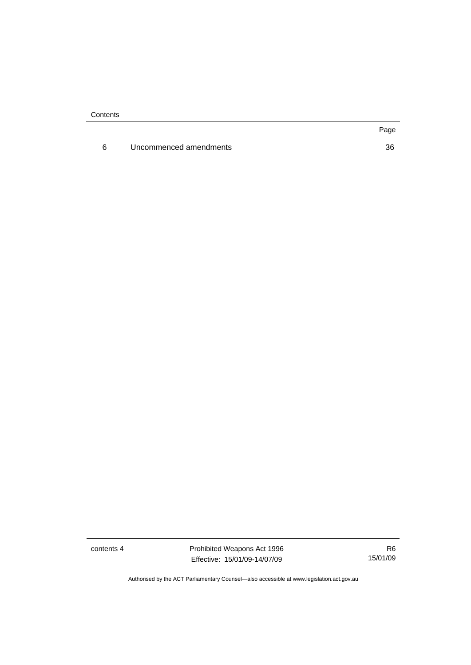**Contents** 

6 Uncommenced amendments [36](#page-41-0)

contents 4 **Prohibited Weapons Act 1996** Effective: 15/01/09-14/07/09

R6 15/01/09

Authorised by the ACT Parliamentary Counsel—also accessible at www.legislation.act.gov.au

Page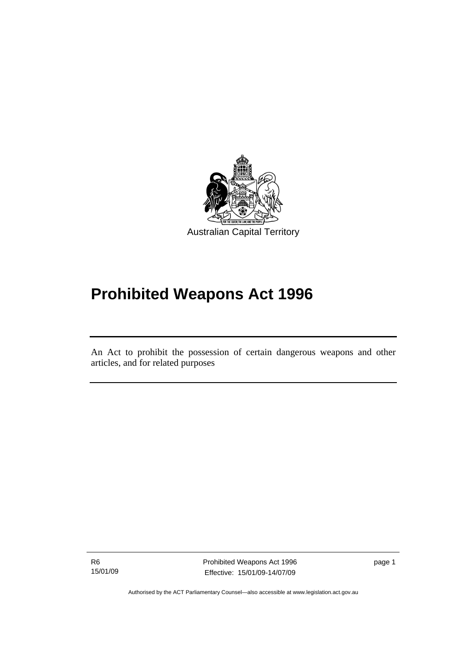<span id="page-6-0"></span>

# **Prohibited Weapons Act 1996**

An Act to prohibit the possession of certain dangerous weapons and other articles, and for related purposes

R6 15/01/09

֖֚֚֚֬

Prohibited Weapons Act 1996 Effective: 15/01/09-14/07/09

page 1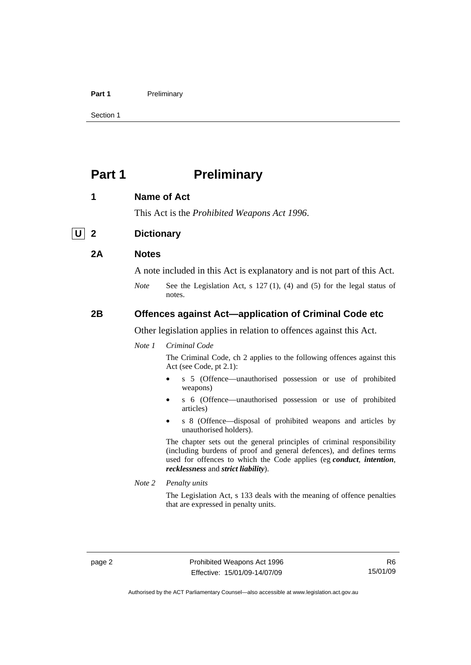#### <span id="page-7-0"></span>Part 1 **Preliminary**

Section 1

## **Part 1** Preliminary

#### **1 Name of Act**

This Act is the *Prohibited Weapons Act 1996*.

### **U 2 Dictionary**

#### **2A Notes**

A note included in this Act is explanatory and is not part of this Act.

*Note* See the Legislation Act, s 127 (1), (4) and (5) for the legal status of notes.

### **2B Offences against Act—application of Criminal Code etc**

Other legislation applies in relation to offences against this Act.

#### *Note 1 Criminal Code*

The Criminal Code, ch 2 applies to the following offences against this Act (see Code, pt 2.1):

- s 5 (Offence—unauthorised possession or use of prohibited weapons)
- s 6 (Offence—unauthorised possession or use of prohibited articles)
- s 8 (Offence—disposal of prohibited weapons and articles by unauthorised holders).

The chapter sets out the general principles of criminal responsibility (including burdens of proof and general defences), and defines terms used for offences to which the Code applies (eg *conduct*, *intention*, *recklessness* and *strict liability*).

*Note 2 Penalty units* 

The Legislation Act, s 133 deals with the meaning of offence penalties that are expressed in penalty units.

Authorised by the ACT Parliamentary Counsel—also accessible at www.legislation.act.gov.au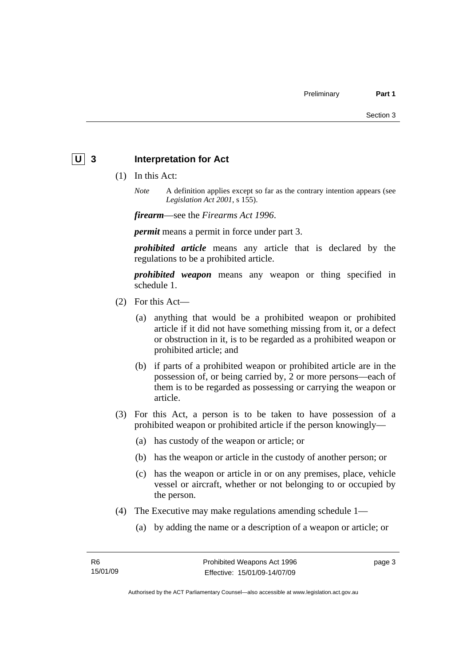### <span id="page-8-0"></span>**U** 3 Interpretation for Act

- (1) In this Act:
	- *Note* A definition applies except so far as the contrary intention appears (see *Legislation Act 2001*, s 155).

*firearm*—see the *Firearms Act 1996*.

*permit* means a permit in force under part 3.

*prohibited article* means any article that is declared by the regulations to be a prohibited article.

*prohibited weapon* means any weapon or thing specified in schedule 1.

- (2) For this Act—
	- (a) anything that would be a prohibited weapon or prohibited article if it did not have something missing from it, or a defect or obstruction in it, is to be regarded as a prohibited weapon or prohibited article; and
	- (b) if parts of a prohibited weapon or prohibited article are in the possession of, or being carried by, 2 or more persons—each of them is to be regarded as possessing or carrying the weapon or article.
- (3) For this Act, a person is to be taken to have possession of a prohibited weapon or prohibited article if the person knowingly—
	- (a) has custody of the weapon or article; or
	- (b) has the weapon or article in the custody of another person; or
	- (c) has the weapon or article in or on any premises, place, vehicle vessel or aircraft, whether or not belonging to or occupied by the person.
- (4) The Executive may make regulations amending schedule 1—
	- (a) by adding the name or a description of a weapon or article; or

page 3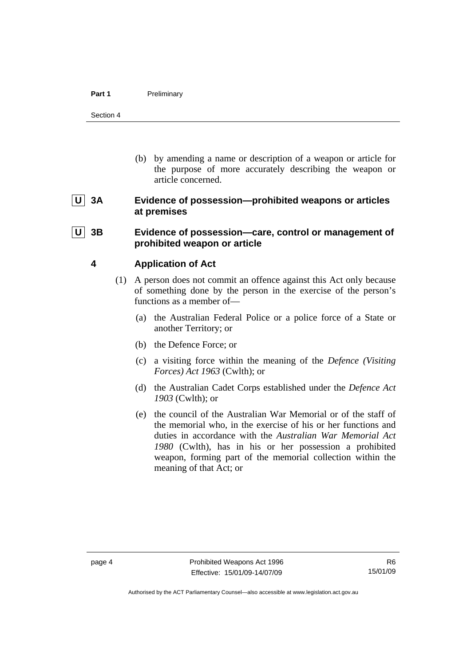<span id="page-9-0"></span> (b) by amending a name or description of a weapon or article for the purpose of more accurately describing the weapon or article concerned.

### **U 3A Evidence of possession—prohibited weapons or articles at premises**

### **U 3B Evidence of possession—care, control or management of prohibited weapon or article**

### **4 Application of Act**

- (1) A person does not commit an offence against this Act only because of something done by the person in the exercise of the person's functions as a member of—
	- (a) the Australian Federal Police or a police force of a State or another Territory; or
	- (b) the Defence Force; or
	- (c) a visiting force within the meaning of the *Defence (Visiting Forces) Act 1963* (Cwlth); or
	- (d) the Australian Cadet Corps established under the *Defence Act 1903* (Cwlth); or
	- (e) the council of the Australian War Memorial or of the staff of the memorial who, in the exercise of his or her functions and duties in accordance with the *Australian War Memorial Act 1980* (Cwlth), has in his or her possession a prohibited weapon, forming part of the memorial collection within the meaning of that Act; or

Authorised by the ACT Parliamentary Counsel—also accessible at www.legislation.act.gov.au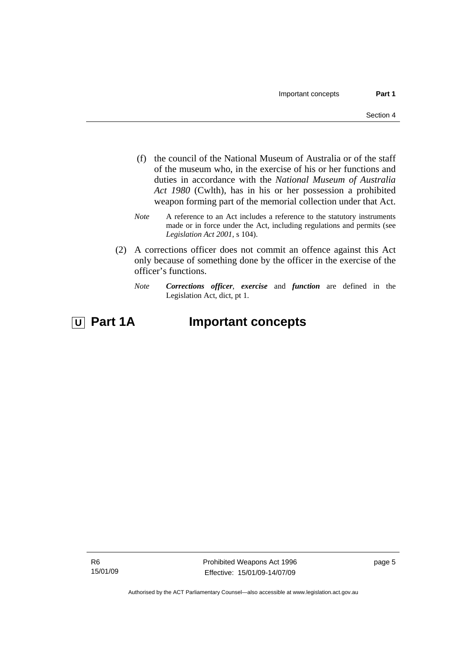- (f) the council of the National Museum of Australia or of the staff of the museum who, in the exercise of his or her functions and duties in accordance with the *National Museum of Australia Act 1980* (Cwlth), has in his or her possession a prohibited weapon forming part of the memorial collection under that Act.
- *Note* A reference to an Act includes a reference to the statutory instruments made or in force under the Act, including regulations and permits (see *Legislation Act 2001*, s 104).
- (2) A corrections officer does not commit an offence against this Act only because of something done by the officer in the exercise of the officer's functions.
	- *Note Corrections officer*, *exercise* and *function* are defined in the Legislation Act, dict, pt 1.

## *<u>U</u>* Part 1A **Important concepts**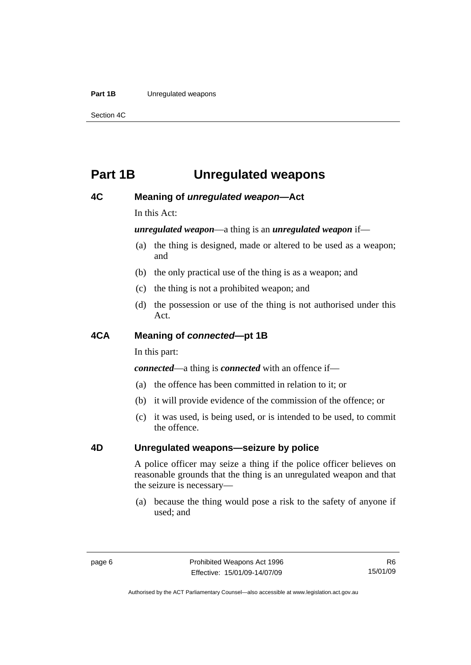#### <span id="page-11-0"></span>**Part 1B** Unregulated weapons

Section 4C

## **Part 1B Unregulated weapons**

### **4C Meaning of** *unregulated weapon***—Act**

In this Act:

### *unregulated weapon*—a thing is an *unregulated weapon* if—

- (a) the thing is designed, made or altered to be used as a weapon; and
- (b) the only practical use of the thing is as a weapon; and
- (c) the thing is not a prohibited weapon; and
- (d) the possession or use of the thing is not authorised under this Act.

### **4CA Meaning of** *connected***—pt 1B**

In this part:

*connected*—a thing is *connected* with an offence if—

- (a) the offence has been committed in relation to it; or
- (b) it will provide evidence of the commission of the offence; or
- (c) it was used, is being used, or is intended to be used, to commit the offence.

### **4D Unregulated weapons—seizure by police**

A police officer may seize a thing if the police officer believes on reasonable grounds that the thing is an unregulated weapon and that the seizure is necessary—

 (a) because the thing would pose a risk to the safety of anyone if used; and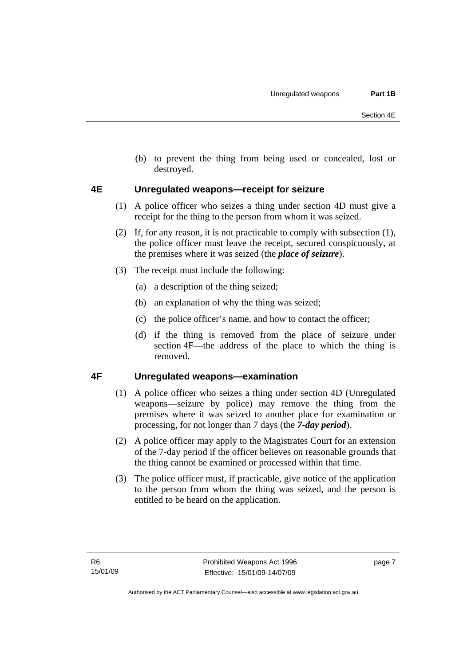<span id="page-12-0"></span> (b) to prevent the thing from being used or concealed, lost or destroyed.

### **4E Unregulated weapons—receipt for seizure**

- (1) A police officer who seizes a thing under section 4D must give a receipt for the thing to the person from whom it was seized.
- (2) If, for any reason, it is not practicable to comply with subsection (1), the police officer must leave the receipt, secured conspicuously, at the premises where it was seized (the *place of seizure*).
- (3) The receipt must include the following:
	- (a) a description of the thing seized;
	- (b) an explanation of why the thing was seized;
	- (c) the police officer's name, and how to contact the officer;
	- (d) if the thing is removed from the place of seizure under section 4F—the address of the place to which the thing is removed.

### **4F Unregulated weapons—examination**

- (1) A police officer who seizes a thing under section 4D (Unregulated weapons—seizure by police) may remove the thing from the premises where it was seized to another place for examination or processing, for not longer than 7 days (the *7-day period*).
- (2) A police officer may apply to the Magistrates Court for an extension of the 7-day period if the officer believes on reasonable grounds that the thing cannot be examined or processed within that time.
- (3) The police officer must, if practicable, give notice of the application to the person from whom the thing was seized, and the person is entitled to be heard on the application.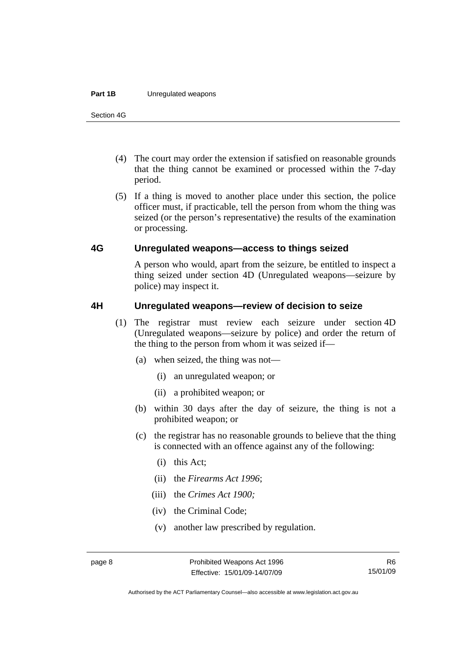#### <span id="page-13-0"></span>**Part 1B** Unregulated weapons

Section 4G

- (4) The court may order the extension if satisfied on reasonable grounds that the thing cannot be examined or processed within the 7-day period.
- (5) If a thing is moved to another place under this section, the police officer must, if practicable, tell the person from whom the thing was seized (or the person's representative) the results of the examination or processing.

#### **4G Unregulated weapons—access to things seized**

A person who would, apart from the seizure, be entitled to inspect a thing seized under section 4D (Unregulated weapons—seizure by police) may inspect it.

#### **4H Unregulated weapons—review of decision to seize**

- (1) The registrar must review each seizure under section 4D (Unregulated weapons—seizure by police) and order the return of the thing to the person from whom it was seized if—
	- (a) when seized, the thing was not—
		- (i) an unregulated weapon; or
		- (ii) a prohibited weapon; or
	- (b) within 30 days after the day of seizure, the thing is not a prohibited weapon; or
	- (c) the registrar has no reasonable grounds to believe that the thing is connected with an offence against any of the following:
		- (i) this Act;
		- (ii) the *Firearms Act 1996*;
		- (iii) the *Crimes Act 1900;*
		- (iv) the Criminal Code;
		- (v) another law prescribed by regulation.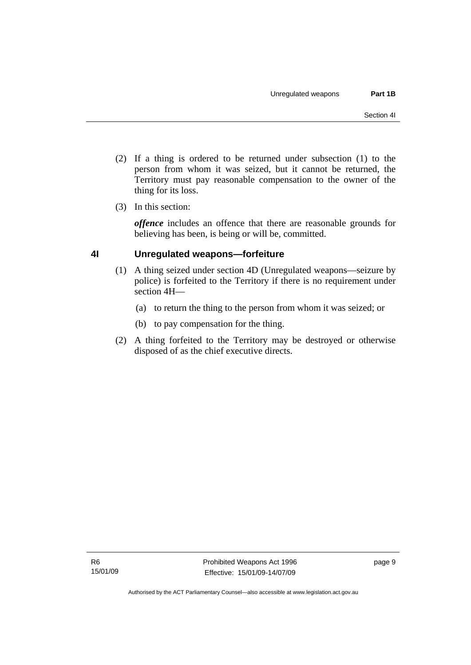- <span id="page-14-0"></span> (2) If a thing is ordered to be returned under subsection (1) to the person from whom it was seized, but it cannot be returned, the Territory must pay reasonable compensation to the owner of the thing for its loss.
- (3) In this section:

*offence* includes an offence that there are reasonable grounds for believing has been, is being or will be, committed.

### **4I Unregulated weapons—forfeiture**

- (1) A thing seized under section 4D (Unregulated weapons—seizure by police) is forfeited to the Territory if there is no requirement under section 4H—
	- (a) to return the thing to the person from whom it was seized; or
	- (b) to pay compensation for the thing.
- (2) A thing forfeited to the Territory may be destroyed or otherwise disposed of as the chief executive directs.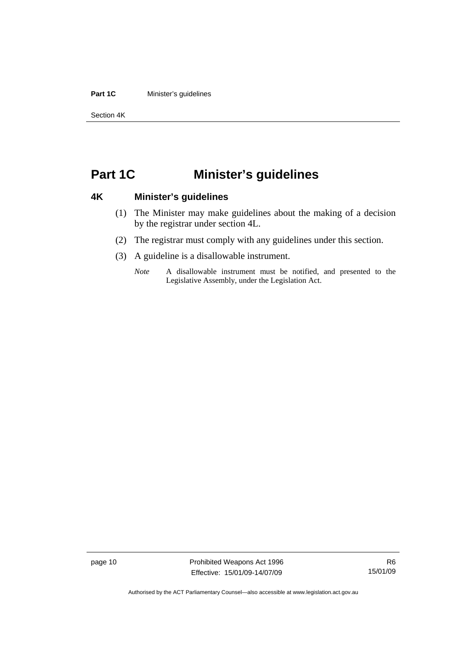#### <span id="page-15-0"></span>**Part 1C Minister's guidelines**

Section 4K

## **Part 1C Minister's guidelines**

### **4K Minister's guidelines**

- (1) The Minister may make guidelines about the making of a decision by the registrar under section 4L.
- (2) The registrar must comply with any guidelines under this section.
- (3) A guideline is a disallowable instrument.
	- *Note* A disallowable instrument must be notified, and presented to the Legislative Assembly, under the Legislation Act.

page 10 **Prohibited Weapons Act 1996** Effective: 15/01/09-14/07/09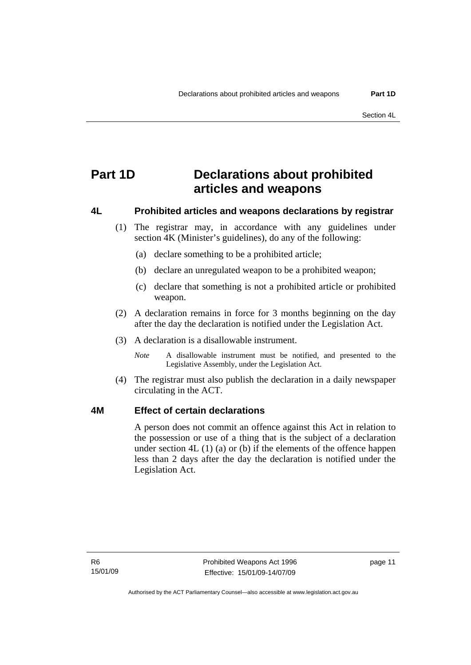## <span id="page-16-0"></span>**Part 1D Declarations about prohibited articles and weapons**

### **4L Prohibited articles and weapons declarations by registrar**

- (1) The registrar may, in accordance with any guidelines under section 4K (Minister's guidelines), do any of the following:
	- (a) declare something to be a prohibited article;
	- (b) declare an unregulated weapon to be a prohibited weapon;
	- (c) declare that something is not a prohibited article or prohibited weapon.
- (2) A declaration remains in force for 3 months beginning on the day after the day the declaration is notified under the Legislation Act.
- (3) A declaration is a disallowable instrument.
	- *Note* A disallowable instrument must be notified, and presented to the Legislative Assembly, under the Legislation Act.
- (4) The registrar must also publish the declaration in a daily newspaper circulating in the ACT.

### **4M Effect of certain declarations**

A person does not commit an offence against this Act in relation to the possession or use of a thing that is the subject of a declaration under section  $4L(1)(a)$  or (b) if the elements of the offence happen less than 2 days after the day the declaration is notified under the Legislation Act.

page 11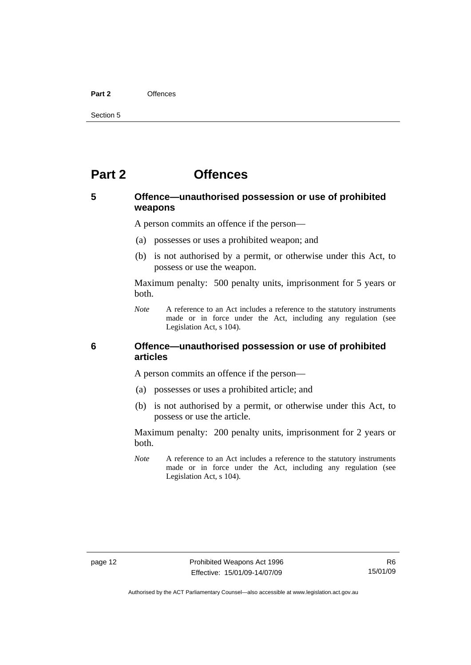#### <span id="page-17-0"></span>**Part 2** Offences

Section 5

## **Part 2 Offences**

### **5 Offence—unauthorised possession or use of prohibited weapons**

A person commits an offence if the person—

- (a) possesses or uses a prohibited weapon; and
- (b) is not authorised by a permit, or otherwise under this Act, to possess or use the weapon.

Maximum penalty: 500 penalty units, imprisonment for 5 years or both.

*Note* A reference to an Act includes a reference to the statutory instruments made or in force under the Act, including any regulation (see Legislation Act, s 104).

### **6 Offence—unauthorised possession or use of prohibited articles**

A person commits an offence if the person—

- (a) possesses or uses a prohibited article; and
- (b) is not authorised by a permit, or otherwise under this Act, to possess or use the article.

Maximum penalty: 200 penalty units, imprisonment for 2 years or both.

*Note* A reference to an Act includes a reference to the statutory instruments made or in force under the Act, including any regulation (see Legislation Act, s 104).

Authorised by the ACT Parliamentary Counsel—also accessible at www.legislation.act.gov.au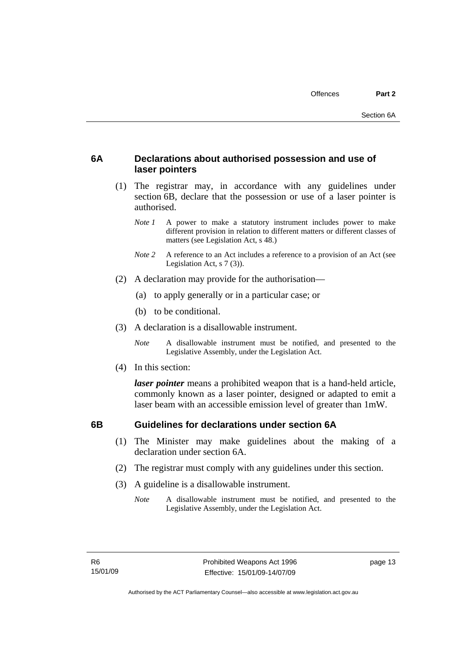### <span id="page-18-0"></span>**6A Declarations about authorised possession and use of laser pointers**

- (1) The registrar may, in accordance with any guidelines under section 6B, declare that the possession or use of a laser pointer is authorised.
	- *Note 1* A power to make a statutory instrument includes power to make different provision in relation to different matters or different classes of matters (see Legislation Act, s 48.)
	- *Note 2* A reference to an Act includes a reference to a provision of an Act (see Legislation Act, s 7 (3)).
- (2) A declaration may provide for the authorisation—
	- (a) to apply generally or in a particular case; or
	- (b) to be conditional.
- (3) A declaration is a disallowable instrument.

*Note* A disallowable instrument must be notified, and presented to the Legislative Assembly, under the Legislation Act.

(4) In this section:

*laser pointer* means a prohibited weapon that is a hand-held article, commonly known as a laser pointer, designed or adapted to emit a laser beam with an accessible emission level of greater than 1mW.

### **6B Guidelines for declarations under section 6A**

- (1) The Minister may make guidelines about the making of a declaration under section 6A.
- (2) The registrar must comply with any guidelines under this section.
- (3) A guideline is a disallowable instrument.
	- *Note* A disallowable instrument must be notified, and presented to the Legislative Assembly, under the Legislation Act.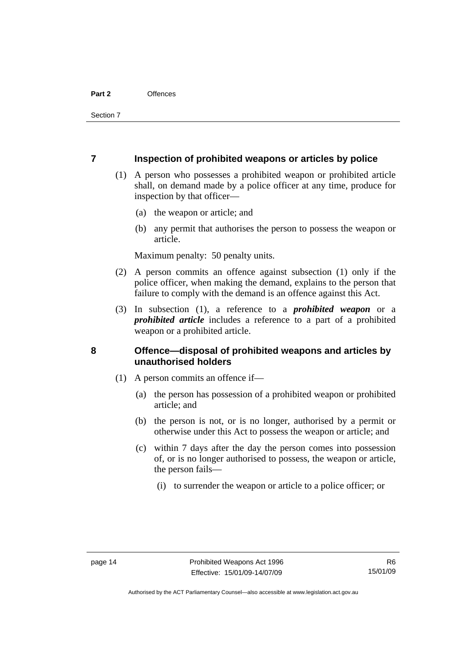#### <span id="page-19-0"></span>**7 Inspection of prohibited weapons or articles by police**

- (1) A person who possesses a prohibited weapon or prohibited article shall, on demand made by a police officer at any time, produce for inspection by that officer—
	- (a) the weapon or article; and
	- (b) any permit that authorises the person to possess the weapon or article.

Maximum penalty: 50 penalty units.

- (2) A person commits an offence against subsection (1) only if the police officer, when making the demand, explains to the person that failure to comply with the demand is an offence against this Act.
- (3) In subsection (1), a reference to a *prohibited weapon* or a *prohibited article* includes a reference to a part of a prohibited weapon or a prohibited article.

### **8 Offence—disposal of prohibited weapons and articles by unauthorised holders**

- (1) A person commits an offence if—
	- (a) the person has possession of a prohibited weapon or prohibited article; and
	- (b) the person is not, or is no longer, authorised by a permit or otherwise under this Act to possess the weapon or article; and
	- (c) within 7 days after the day the person comes into possession of, or is no longer authorised to possess, the weapon or article, the person fails—
		- (i) to surrender the weapon or article to a police officer; or

Authorised by the ACT Parliamentary Counsel—also accessible at www.legislation.act.gov.au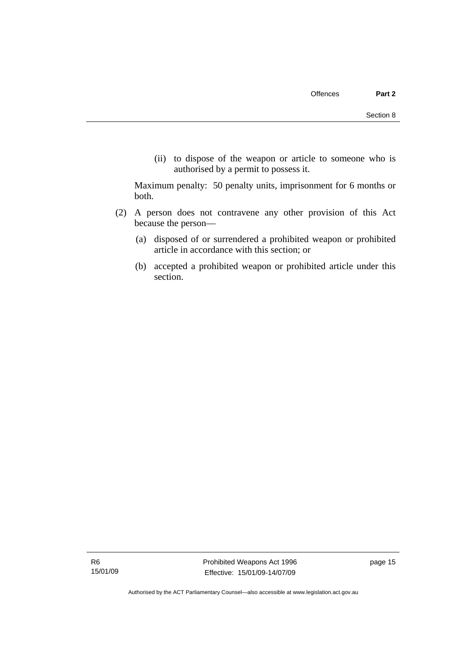(ii) to dispose of the weapon or article to someone who is authorised by a permit to possess it.

Maximum penalty: 50 penalty units, imprisonment for 6 months or both.

- (2) A person does not contravene any other provision of this Act because the person—
	- (a) disposed of or surrendered a prohibited weapon or prohibited article in accordance with this section; or
	- (b) accepted a prohibited weapon or prohibited article under this section.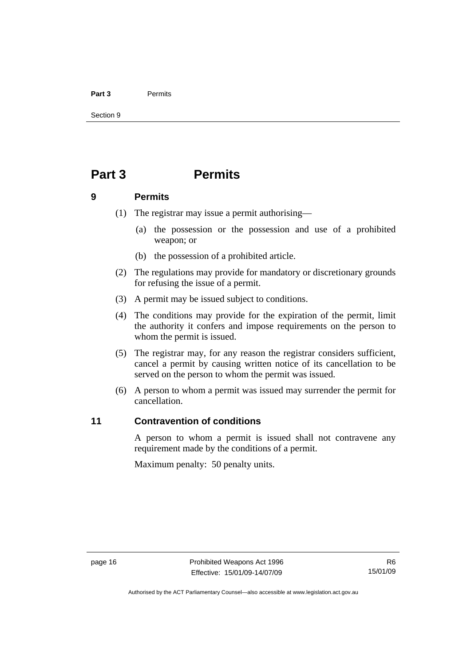#### <span id="page-21-0"></span>**Part 3** Permits

Section 9

## **Part 3 Permits**

#### **9 Permits**

- (1) The registrar may issue a permit authorising—
	- (a) the possession or the possession and use of a prohibited weapon; or
	- (b) the possession of a prohibited article.
- (2) The regulations may provide for mandatory or discretionary grounds for refusing the issue of a permit.
- (3) A permit may be issued subject to conditions.
- (4) The conditions may provide for the expiration of the permit, limit the authority it confers and impose requirements on the person to whom the permit is issued.
- (5) The registrar may, for any reason the registrar considers sufficient, cancel a permit by causing written notice of its cancellation to be served on the person to whom the permit was issued.
- (6) A person to whom a permit was issued may surrender the permit for cancellation.

### **11 Contravention of conditions**

A person to whom a permit is issued shall not contravene any requirement made by the conditions of a permit.

Maximum penalty: 50 penalty units.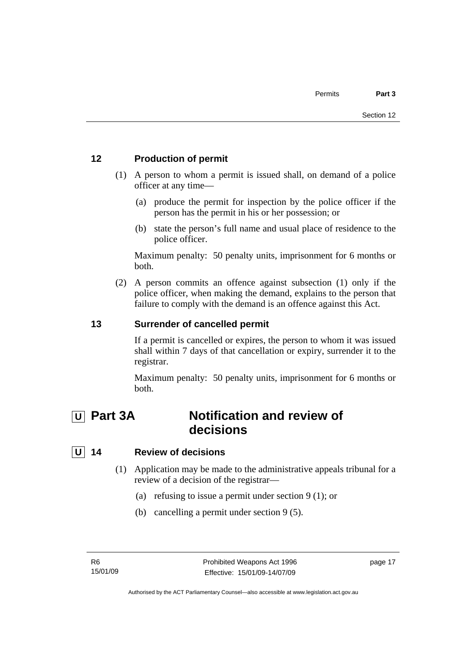### <span id="page-22-0"></span>**12 Production of permit**

- (1) A person to whom a permit is issued shall, on demand of a police officer at any time—
	- (a) produce the permit for inspection by the police officer if the person has the permit in his or her possession; or
	- (b) state the person's full name and usual place of residence to the police officer.

Maximum penalty: 50 penalty units, imprisonment for 6 months or both.

 (2) A person commits an offence against subsection (1) only if the police officer, when making the demand, explains to the person that failure to comply with the demand is an offence against this Act.

### **13 Surrender of cancelled permit**

If a permit is cancelled or expires, the person to whom it was issued shall within 7 days of that cancellation or expiry, surrender it to the registrar.

Maximum penalty: 50 penalty units, imprisonment for 6 months or both.

## **U** Part 3A **Notification and review of decisions**

### **U 14 Review of decisions**

- (1) Application may be made to the administrative appeals tribunal for a review of a decision of the registrar—
	- (a) refusing to issue a permit under section 9 (1); or
	- (b) cancelling a permit under section 9 (5).

page 17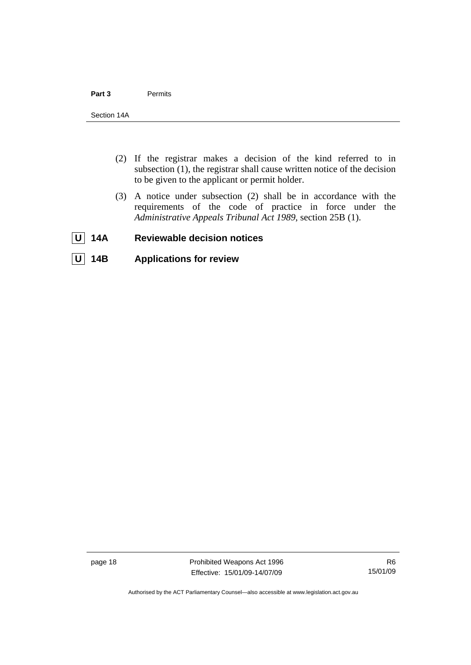- <span id="page-23-0"></span> (2) If the registrar makes a decision of the kind referred to in subsection (1), the registrar shall cause written notice of the decision to be given to the applicant or permit holder.
- (3) A notice under subsection (2) shall be in accordance with the requirements of the code of practice in force under the *Administrative Appeals Tribunal Act 1989*, section 25B (1).
- **U** 14A Reviewable decision notices
- **U 14B Applications for review**

page 18 **Prohibited Weapons Act 1996** Effective: 15/01/09-14/07/09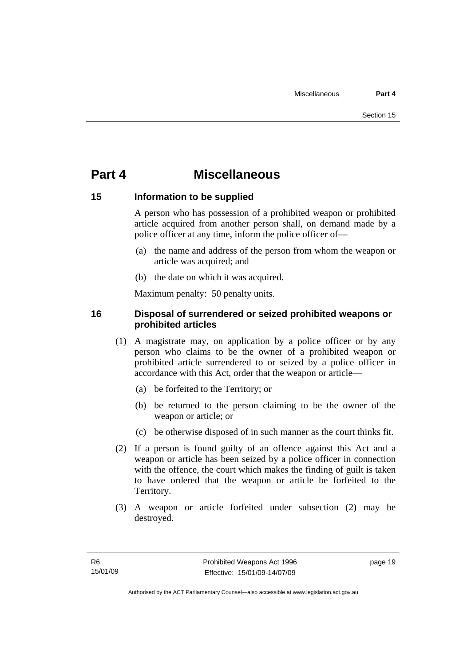## <span id="page-24-0"></span>**Part 4 Miscellaneous**

### **15 Information to be supplied**

A person who has possession of a prohibited weapon or prohibited article acquired from another person shall, on demand made by a police officer at any time, inform the police officer of—

- (a) the name and address of the person from whom the weapon or article was acquired; and
- (b) the date on which it was acquired.

Maximum penalty: 50 penalty units.

### **16 Disposal of surrendered or seized prohibited weapons or prohibited articles**

- (1) A magistrate may, on application by a police officer or by any person who claims to be the owner of a prohibited weapon or prohibited article surrendered to or seized by a police officer in accordance with this Act, order that the weapon or article—
	- (a) be forfeited to the Territory; or
	- (b) be returned to the person claiming to be the owner of the weapon or article; or
	- (c) be otherwise disposed of in such manner as the court thinks fit.
- (2) If a person is found guilty of an offence against this Act and a weapon or article has been seized by a police officer in connection with the offence, the court which makes the finding of guilt is taken to have ordered that the weapon or article be forfeited to the Territory.
- (3) A weapon or article forfeited under subsection (2) may be destroyed.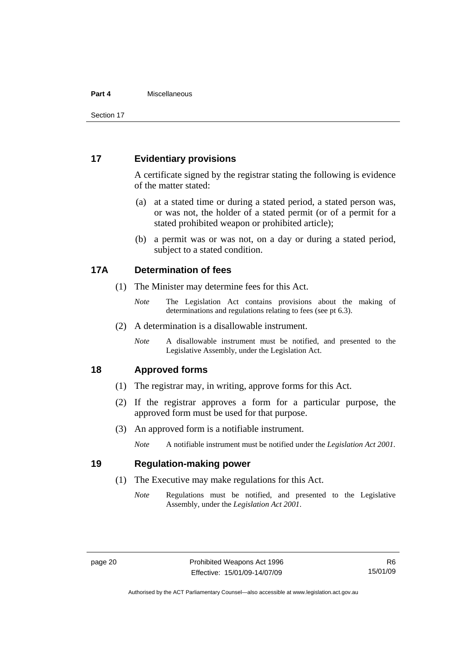#### <span id="page-25-0"></span>**Part 4** Miscellaneous

Section 17

#### **17 Evidentiary provisions**

A certificate signed by the registrar stating the following is evidence of the matter stated:

- (a) at a stated time or during a stated period, a stated person was, or was not, the holder of a stated permit (or of a permit for a stated prohibited weapon or prohibited article);
- (b) a permit was or was not, on a day or during a stated period, subject to a stated condition.

### **17A Determination of fees**

- (1) The Minister may determine fees for this Act.
	- *Note* The Legislation Act contains provisions about the making of determinations and regulations relating to fees (see pt 6.3).
- (2) A determination is a disallowable instrument.
	- *Note* A disallowable instrument must be notified, and presented to the Legislative Assembly, under the Legislation Act.

### **18 Approved forms**

- (1) The registrar may, in writing, approve forms for this Act.
- (2) If the registrar approves a form for a particular purpose, the approved form must be used for that purpose.
- (3) An approved form is a notifiable instrument.

*Note* A notifiable instrument must be notified under the *Legislation Act 2001*.

### **19 Regulation-making power**

- (1) The Executive may make regulations for this Act.
	- *Note* Regulations must be notified, and presented to the Legislative Assembly, under the *Legislation Act 2001*.

Authorised by the ACT Parliamentary Counsel—also accessible at www.legislation.act.gov.au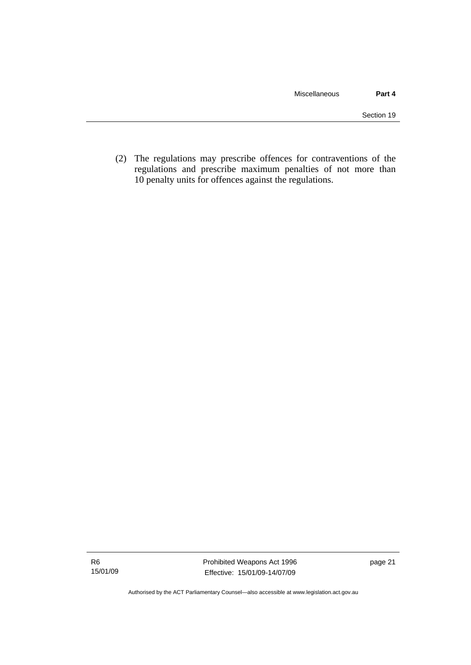(2) The regulations may prescribe offences for contraventions of the regulations and prescribe maximum penalties of not more than 10 penalty units for offences against the regulations.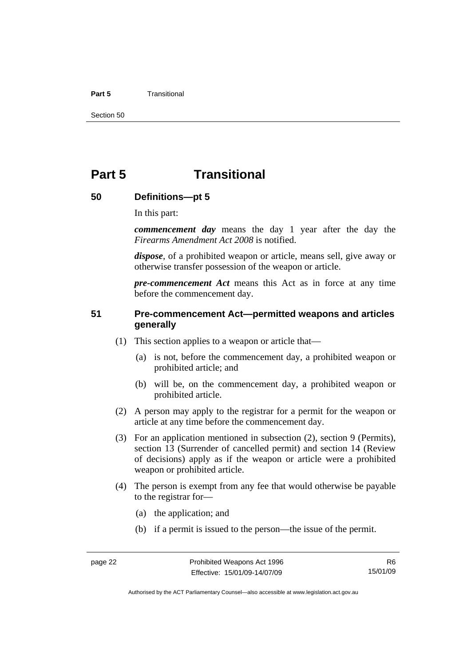#### <span id="page-27-0"></span>**Part 5** Transitional

Section 50

## **Part 5 Transitional**

#### **50 Definitions—pt 5**

In this part:

*commencement day* means the day 1 year after the day the *Firearms Amendment Act 2008* is notified.

*dispose*, of a prohibited weapon or article, means sell, give away or otherwise transfer possession of the weapon or article.

*pre-commencement Act* means this Act as in force at any time before the commencement day.

### **51 Pre-commencement Act—permitted weapons and articles generally**

- (1) This section applies to a weapon or article that—
	- (a) is not, before the commencement day, a prohibited weapon or prohibited article; and
	- (b) will be, on the commencement day, a prohibited weapon or prohibited article.
- (2) A person may apply to the registrar for a permit for the weapon or article at any time before the commencement day.
- (3) For an application mentioned in subsection (2), section 9 (Permits), section 13 (Surrender of cancelled permit) and section 14 (Review of decisions) apply as if the weapon or article were a prohibited weapon or prohibited article.
- (4) The person is exempt from any fee that would otherwise be payable to the registrar for—
	- (a) the application; and
	- (b) if a permit is issued to the person—the issue of the permit.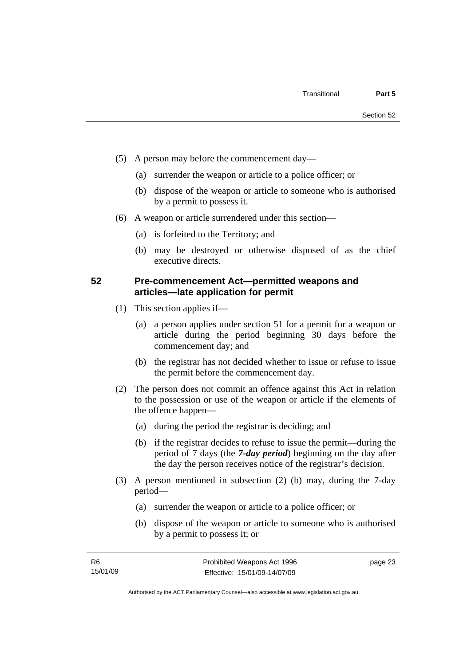- <span id="page-28-0"></span> (5) A person may before the commencement day—
	- (a) surrender the weapon or article to a police officer; or
	- (b) dispose of the weapon or article to someone who is authorised by a permit to possess it.
- (6) A weapon or article surrendered under this section—
	- (a) is forfeited to the Territory; and
	- (b) may be destroyed or otherwise disposed of as the chief executive directs.

### **52 Pre-commencement Act—permitted weapons and articles—late application for permit**

- (1) This section applies if—
	- (a) a person applies under section 51 for a permit for a weapon or article during the period beginning 30 days before the commencement day; and
	- (b) the registrar has not decided whether to issue or refuse to issue the permit before the commencement day.
- (2) The person does not commit an offence against this Act in relation to the possession or use of the weapon or article if the elements of the offence happen—
	- (a) during the period the registrar is deciding; and
	- (b) if the registrar decides to refuse to issue the permit—during the period of 7 days (the *7-day period*) beginning on the day after the day the person receives notice of the registrar's decision.
- (3) A person mentioned in subsection (2) (b) may, during the 7-day period—
	- (a) surrender the weapon or article to a police officer; or
	- (b) dispose of the weapon or article to someone who is authorised by a permit to possess it; or

page 23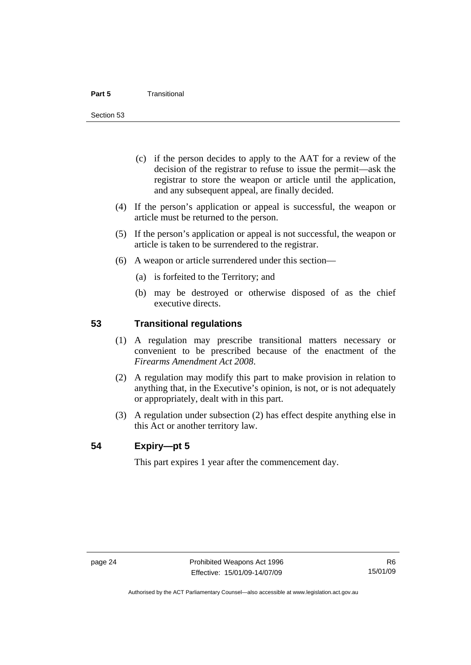- <span id="page-29-0"></span> (c) if the person decides to apply to the AAT for a review of the decision of the registrar to refuse to issue the permit—ask the registrar to store the weapon or article until the application, and any subsequent appeal, are finally decided.
- (4) If the person's application or appeal is successful, the weapon or article must be returned to the person.
- (5) If the person's application or appeal is not successful, the weapon or article is taken to be surrendered to the registrar.
- (6) A weapon or article surrendered under this section—
	- (a) is forfeited to the Territory; and
	- (b) may be destroyed or otherwise disposed of as the chief executive directs.

### **53 Transitional regulations**

- (1) A regulation may prescribe transitional matters necessary or convenient to be prescribed because of the enactment of the *Firearms Amendment Act 2008*.
- (2) A regulation may modify this part to make provision in relation to anything that, in the Executive's opinion, is not, or is not adequately or appropriately, dealt with in this part.
- (3) A regulation under subsection (2) has effect despite anything else in this Act or another territory law.

### **54 Expiry—pt 5**

This part expires 1 year after the commencement day.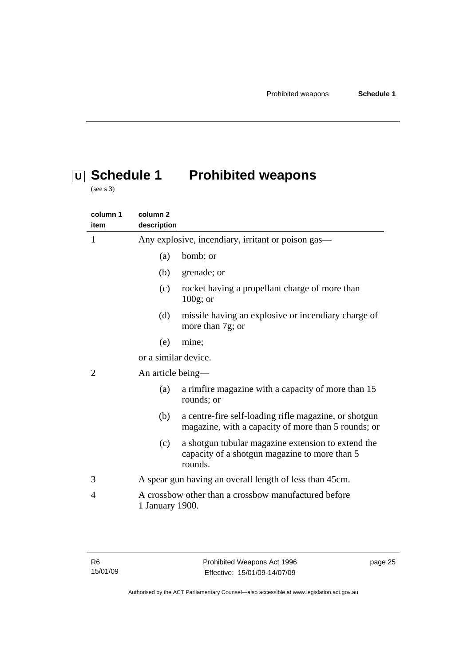# <span id="page-30-0"></span> **U Schedule 1 Prohibited weapons**

(see s 3)

| column 1<br>item | column <sub>2</sub><br>description                                                                                    |
|------------------|-----------------------------------------------------------------------------------------------------------------------|
| 1                | Any explosive, incendiary, irritant or poison gas—                                                                    |
|                  | bomb; or<br>(a)                                                                                                       |
|                  | (b)<br>grenade; or                                                                                                    |
|                  | rocket having a propellant charge of more than<br>(c)<br>$100g$ ; or                                                  |
|                  | (d)<br>missile having an explosive or incendiary charge of<br>more than 7g; or                                        |
|                  | (e)<br>mine;                                                                                                          |
|                  | or a similar device.                                                                                                  |
| $\overline{2}$   | An article being-                                                                                                     |
|                  | a rimfire magazine with a capacity of more than 15<br>(a)<br>rounds; or                                               |
|                  | a centre-fire self-loading rifle magazine, or shotgun<br>(b)<br>magazine, with a capacity of more than 5 rounds; or   |
|                  | a shotgun tubular magazine extension to extend the<br>(c)<br>capacity of a shotgun magazine to more than 5<br>rounds. |
| 3                | A spear gun having an overall length of less than 45cm.                                                               |
| 4                | A crossbow other than a crossbow manufactured before<br>1 January 1900.                                               |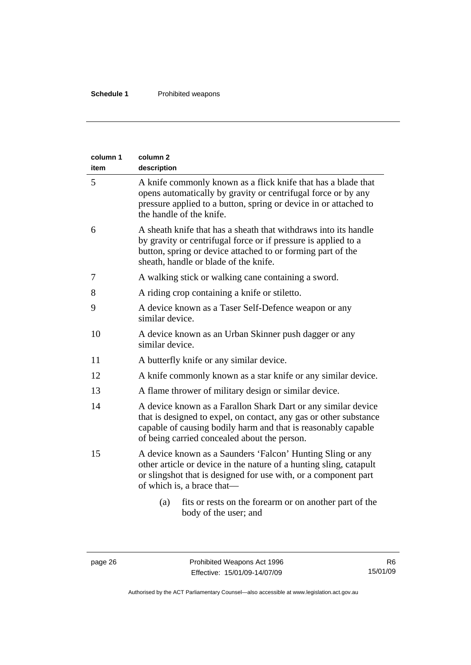| column 1<br>item | column <sub>2</sub><br>description                                                                                                                                                                                                                  |
|------------------|-----------------------------------------------------------------------------------------------------------------------------------------------------------------------------------------------------------------------------------------------------|
| 5                | A knife commonly known as a flick knife that has a blade that<br>opens automatically by gravity or centrifugal force or by any<br>pressure applied to a button, spring or device in or attached to<br>the handle of the knife.                      |
| 6                | A sheath knife that has a sheath that withdraws into its handle<br>by gravity or centrifugal force or if pressure is applied to a<br>button, spring or device attached to or forming part of the<br>sheath, handle or blade of the knife.           |
| 7                | A walking stick or walking cane containing a sword.                                                                                                                                                                                                 |
| 8                | A riding crop containing a knife or stiletto.                                                                                                                                                                                                       |
| 9                | A device known as a Taser Self-Defence weapon or any<br>similar device.                                                                                                                                                                             |
| 10               | A device known as an Urban Skinner push dagger or any<br>similar device.                                                                                                                                                                            |
| 11               | A butterfly knife or any similar device.                                                                                                                                                                                                            |
| 12               | A knife commonly known as a star knife or any similar device.                                                                                                                                                                                       |
| 13               | A flame thrower of military design or similar device.                                                                                                                                                                                               |
| 14               | A device known as a Farallon Shark Dart or any similar device<br>that is designed to expel, on contact, any gas or other substance<br>capable of causing bodily harm and that is reasonably capable<br>of being carried concealed about the person. |
| 15               | A device known as a Saunders 'Falcon' Hunting Sling or any<br>other article or device in the nature of a hunting sling, catapult<br>or slingshot that is designed for use with, or a component part<br>of which is, a brace that—                   |
|                  | fits or rests on the forearm or on another part of the<br>(a)<br>body of the user; and                                                                                                                                                              |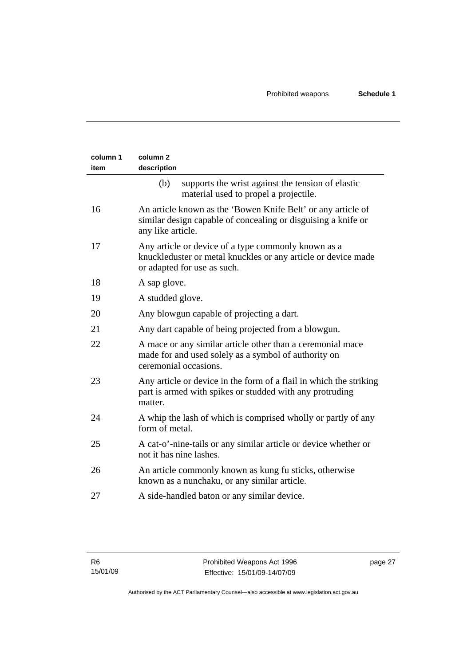| column 1<br>item | column <sub>2</sub><br>description                                                                                                                  |
|------------------|-----------------------------------------------------------------------------------------------------------------------------------------------------|
|                  | (b)<br>supports the wrist against the tension of elastic<br>material used to propel a projectile.                                                   |
| 16               | An article known as the 'Bowen Knife Belt' or any article of<br>similar design capable of concealing or disguising a knife or<br>any like article.  |
| 17               | Any article or device of a type commonly known as a<br>knuckleduster or metal knuckles or any article or device made<br>or adapted for use as such. |
| 18               | A sap glove.                                                                                                                                        |
| 19               | A studded glove.                                                                                                                                    |
| 20               | Any blowgun capable of projecting a dart.                                                                                                           |
| 21               | Any dart capable of being projected from a blowgun.                                                                                                 |
| 22               | A mace or any similar article other than a ceremonial mace<br>made for and used solely as a symbol of authority on<br>ceremonial occasions.         |
| 23               | Any article or device in the form of a flail in which the striking<br>part is armed with spikes or studded with any protruding<br>matter.           |
| 24               | A whip the lash of which is comprised wholly or partly of any<br>form of metal.                                                                     |
| 25               | A cat-o'-nine-tails or any similar article or device whether or<br>not it has nine lashes.                                                          |
| 26               | An article commonly known as kung fu sticks, otherwise<br>known as a nunchaku, or any similar article.                                              |
| 27               | A side-handled baton or any similar device.                                                                                                         |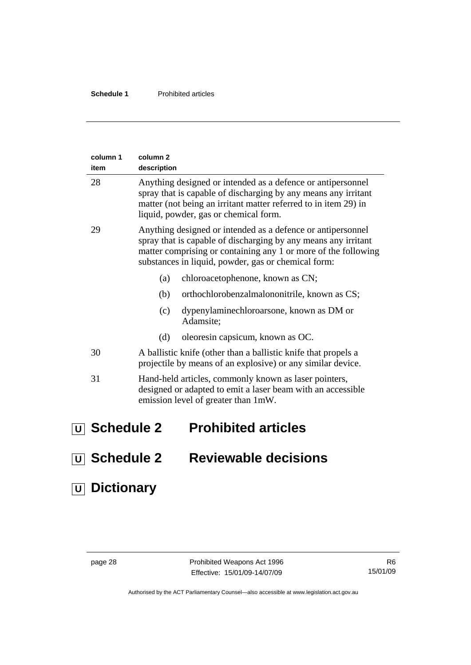<span id="page-33-0"></span>

| column 1<br>item          | column <sub>2</sub><br>description |                                                                                                                                                                                                                                                        |
|---------------------------|------------------------------------|--------------------------------------------------------------------------------------------------------------------------------------------------------------------------------------------------------------------------------------------------------|
| 28                        |                                    | Anything designed or intended as a defence or antipersonnel<br>spray that is capable of discharging by any means any irritant<br>matter (not being an irritant matter referred to in item 29) in<br>liquid, powder, gas or chemical form.              |
| 29                        |                                    | Anything designed or intended as a defence or antipersonnel<br>spray that is capable of discharging by any means any irritant<br>matter comprising or containing any 1 or more of the following<br>substances in liquid, powder, gas or chemical form: |
|                           | (a)                                | chloroacetophenone, known as CN;                                                                                                                                                                                                                       |
|                           | (b)                                | orthochlorobenzalmalononitrile, known as CS;                                                                                                                                                                                                           |
|                           | (c)                                | dypenylaminechloroarsone, known as DM or<br>Adamsite;                                                                                                                                                                                                  |
|                           | (d)                                | oleoresin capsicum, known as OC.                                                                                                                                                                                                                       |
| 30                        |                                    | A ballistic knife (other than a ballistic knife that propels a<br>projectile by means of an explosive) or any similar device.                                                                                                                          |
| 31                        |                                    | Hand-held articles, commonly known as laser pointers,<br>designed or adapted to emit a laser beam with an accessible<br>emission level of greater than 1mW.                                                                                            |
| $\overline{U}$ Schedule 2 |                                    | <b>Prohibited articles</b>                                                                                                                                                                                                                             |
| $\overline{U}$ Schedule 2 |                                    | <b>Reviewable decisions</b>                                                                                                                                                                                                                            |

 **U Dictionary**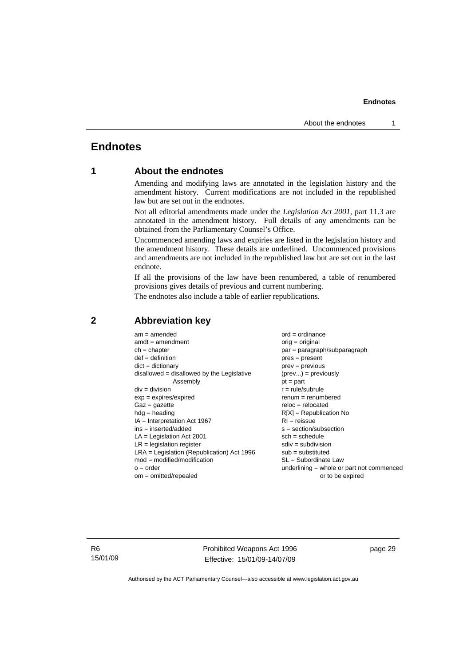### <span id="page-34-0"></span>**Endnotes**

### **1 About the endnotes**

Amending and modifying laws are annotated in the legislation history and the amendment history. Current modifications are not included in the republished law but are set out in the endnotes.

Not all editorial amendments made under the *Legislation Act 2001*, part 11.3 are annotated in the amendment history. Full details of any amendments can be obtained from the Parliamentary Counsel's Office.

Uncommenced amending laws and expiries are listed in the legislation history and the amendment history. These details are underlined. Uncommenced provisions and amendments are not included in the republished law but are set out in the last endnote.

If all the provisions of the law have been renumbered, a table of renumbered provisions gives details of previous and current numbering.

The endnotes also include a table of earlier republications.

| $am = amended$<br>$amdt = amendment$<br>$ch = chapter$<br>$def = definition$<br>$dict = dictionary$<br>$disallowed = disallowed by the Legislative$<br>Assembly<br>$div = division$<br>$exp = expires/expired$<br>$Gaz = qazette$<br>$hdg =$ heading<br>$IA = Interpretation Act 1967$<br>$ins = inserted/added$<br>$LA =$ Legislation Act 2001<br>$LR =$ legislation register<br>$LRA =$ Legislation (Republication) Act 1996<br>$mod = modified/modification$<br>$o = order$ | $ord = ordinance$<br>$orig = original$<br>par = paragraph/subparagraph<br>$pres = present$<br>$prev = previous$<br>$(\text{prev}) = \text{previously}$<br>$pt = part$<br>$r = rule/subrule$<br>$renum = renumbered$<br>$reloc = relocated$<br>$R[X]$ = Republication No<br>$RI = reissue$<br>$s = section/subsection$<br>$sch = schedule$<br>$sdiv = subdivision$<br>$sub =$ substituted<br>$SL = Subordinate$ Law<br>underlining = whole or part not commenced |
|--------------------------------------------------------------------------------------------------------------------------------------------------------------------------------------------------------------------------------------------------------------------------------------------------------------------------------------------------------------------------------------------------------------------------------------------------------------------------------|-----------------------------------------------------------------------------------------------------------------------------------------------------------------------------------------------------------------------------------------------------------------------------------------------------------------------------------------------------------------------------------------------------------------------------------------------------------------|
| $om = omitted/repealed$                                                                                                                                                                                                                                                                                                                                                                                                                                                        | or to be expired                                                                                                                                                                                                                                                                                                                                                                                                                                                |
|                                                                                                                                                                                                                                                                                                                                                                                                                                                                                |                                                                                                                                                                                                                                                                                                                                                                                                                                                                 |

#### **2 Abbreviation key**

R6 15/01/09 Prohibited Weapons Act 1996 Effective: 15/01/09-14/07/09

page 29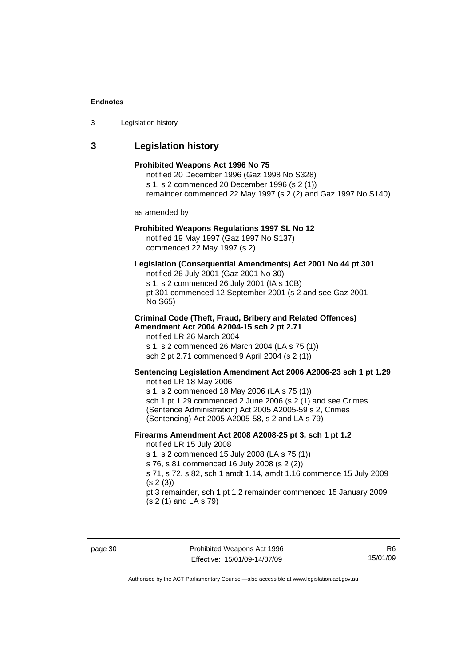<span id="page-35-0"></span>3 Legislation history

## **3 Legislation history**

| Prohibited Weapons Act 1996 No 75<br>notified 20 December 1996 (Gaz 1998 No S328)<br>s 1, s 2 commenced 20 December 1996 (s 2 (1))<br>remainder commenced 22 May 1997 (s 2 (2) and Gaz 1997 No S140)                                                                                                                                                               |  |
|--------------------------------------------------------------------------------------------------------------------------------------------------------------------------------------------------------------------------------------------------------------------------------------------------------------------------------------------------------------------|--|
| as amended by                                                                                                                                                                                                                                                                                                                                                      |  |
| Prohibited Weapons Regulations 1997 SL No 12<br>notified 19 May 1997 (Gaz 1997 No S137)<br>commenced 22 May 1997 (s 2)                                                                                                                                                                                                                                             |  |
| Legislation (Consequential Amendments) Act 2001 No 44 pt 301<br>notified 26 July 2001 (Gaz 2001 No 30)<br>s 1, s 2 commenced 26 July 2001 (IA s 10B)<br>pt 301 commenced 12 September 2001 (s 2 and see Gaz 2001<br>No S65)                                                                                                                                        |  |
| <b>Criminal Code (Theft, Fraud, Bribery and Related Offences)</b><br>Amendment Act 2004 A2004-15 sch 2 pt 2.71<br>notified LR 26 March 2004<br>s 1, s 2 commenced 26 March 2004 (LA s 75 (1))<br>sch 2 pt 2.71 commenced 9 April 2004 (s 2 (1))                                                                                                                    |  |
| Sentencing Legislation Amendment Act 2006 A2006-23 sch 1 pt 1.29<br>notified LR 18 May 2006<br>s 1, s 2 commenced 18 May 2006 (LA s 75 (1))<br>sch 1 pt 1.29 commenced 2 June 2006 (s 2 (1) and see Crimes<br>(Sentence Administration) Act 2005 A2005-59 s 2, Crimes<br>(Sentencing) Act 2005 A2005-58, s 2 and LA s 79)                                          |  |
| Firearms Amendment Act 2008 A2008-25 pt 3, sch 1 pt 1.2<br>notified LR 15 July 2008<br>s 1, s 2 commenced 15 July 2008 (LA s 75 (1))<br>s 76, s 81 commenced 16 July 2008 (s 2 (2))<br>s 71, s 72, s 82, sch 1 amdt 1.14, amdt 1.16 commence 15 July 2009<br>(s 2(3))<br>pt 3 remainder, sch 1 pt 1.2 remainder commenced 15 January 2009<br>(s 2 (1) and LA s 79) |  |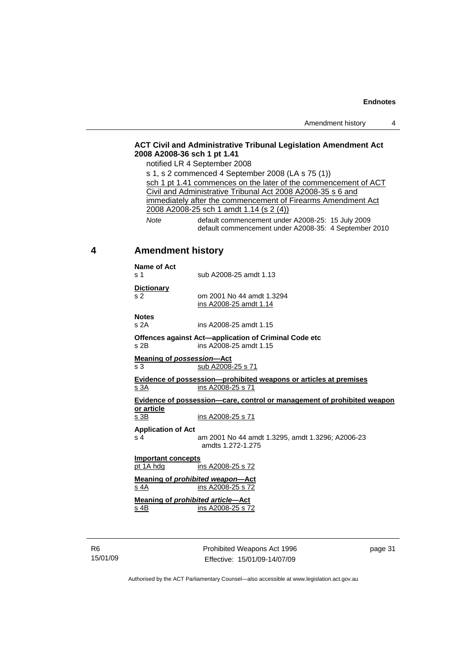#### <span id="page-36-0"></span>**ACT Civil and Administrative Tribunal Legislation Amendment Act 2008 A2008-36 sch 1 pt 1.41**

notified LR 4 September 2008

s 1, s 2 commenced 4 September 2008 (LA s 75 (1)) sch 1 pt 1.41 commences on the later of the commencement of ACT Civil and Administrative Tribunal Act 2008 A2008-35 s 6 and immediately after the commencement of Firearms Amendment Act 2008 A2008-25 sch 1 amdt 1.14 (s 2 (4)) *Note* default commencement under A2008-25: 15 July 2009

default commencement under A2008-35: 4 September 2010

#### **4 Amendment history**

#### **Name of Act**

s 1 sub A2008-25 amdt 1.13

**Dictionary**

s 2 **cm 2001 No 44 amdt 1.3294** 

**Notes** 

s 2A ins A2008-25 amdt 1.15

**Offences against Act—application of Criminal Code etc**  s 2B ins A2008-25 amdt 1.15

ins A2008-25 amdt 1.14

**Meaning of** *possession***—Act**  $\overline{\text{s}3}$   $\overline{\text{s}1}$   $\overline{\text{s}1}$   $\overline{\text{s}1}$ 

**Evidence of possession—prohibited weapons or articles at premises** s 3A ins A2008-25 s 71

**Evidence of possession—care, control or management of prohibited weapon or article**

s 3B ins A2008-25 s 71

**Application of Act** 

s 4 am 2001 No 44 amdt 1.3295, amdt 1.3296; A2006-23 amdts 1.272-1.275

**Important concepts**

pt 1A hdg ins A2008-25 s 72

**Meaning of** *prohibited weapon***—Act** s 4A ins A2008-25 s 72

**Meaning of** *prohibited article***—Act** s 4B ins A2008-25 s 72

R6 15/01/09 Prohibited Weapons Act 1996 Effective: 15/01/09-14/07/09

page 31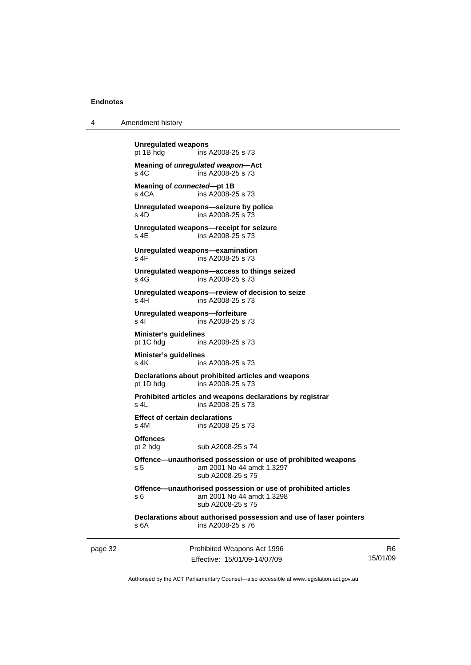4 Amendment history

|         | <b>Unregulated weapons</b><br>pt 1B hdg       | ins A2008-25 s 73                                                                                               |          |
|---------|-----------------------------------------------|-----------------------------------------------------------------------------------------------------------------|----------|
|         | s 4C                                          | Meaning of unregulated weapon-Act<br>ins A2008-25 s 73                                                          |          |
|         | Meaning of connected-pt 1B<br>s 4CA           | ins A2008-25 s 73                                                                                               |          |
|         | $s$ 4D                                        | Unregulated weapons-seizure by police<br>ins A2008-25 s 73                                                      |          |
|         | s 4E                                          | Unregulated weapons-receipt for seizure<br>ins A2008-25 s 73                                                    |          |
|         | s 4F                                          | Unregulated weapons-examination<br>ins A2008-25 s 73                                                            |          |
|         | s 4G                                          | Unregulated weapons-access to things seized<br>ins A2008-25 s 73                                                |          |
|         | s 4H                                          | Unregulated weapons-review of decision to seize<br>ins A2008-25 s 73                                            |          |
|         | Unregulated weapons-forfeiture<br>s 4l        | ins A2008-25 s 73                                                                                               |          |
|         | Minister's guidelines<br>pt 1C hdg            | ins A2008-25 s 73                                                                                               |          |
|         | Minister's guidelines<br>s 4K                 | ins A2008-25 s 73                                                                                               |          |
|         | pt 1D hdg                                     | Declarations about prohibited articles and weapons<br>ins A2008-25 s 73                                         |          |
|         | s 4L                                          | Prohibited articles and weapons declarations by registrar<br>ins A2008-25 s 73                                  |          |
|         | <b>Effect of certain declarations</b><br>s 4M | ins A2008-25 s 73                                                                                               |          |
|         | <b>Offences</b><br>pt 2 hdg                   | sub A2008-25 s 74                                                                                               |          |
|         | s 5                                           | Offence—unauthorised possession or use of prohibited weapons<br>am 2001 No 44 amdt 1.3297<br>sub A2008-25 s 75  |          |
|         | s 6                                           | Offence-unauthorised possession or use of prohibited articles<br>am 2001 No 44 amdt 1.3298<br>sub A2008-25 s 75 |          |
|         | s 6A                                          | Declarations about authorised possession and use of laser pointers<br>ins A2008-25 s 76                         |          |
| page 32 |                                               | Prohibited Weapons Act 1996                                                                                     | R6       |
|         |                                               | Effective: 15/01/09-14/07/09                                                                                    | 15/01/09 |

Authorised by the ACT Parliamentary Counsel—also accessible at www.legislation.act.gov.au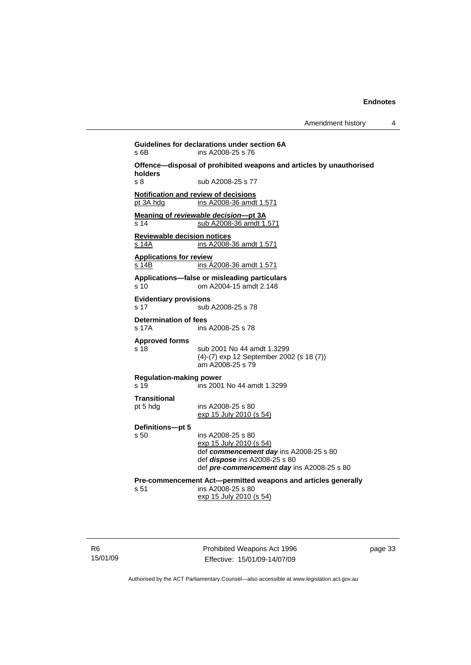**Guidelines for declarations under section 6A**  s 6B ins A2008-25 s 76 **Offence—disposal of prohibited weapons and articles by unauthorised holders**  s 8 sub A2008-25 s 77 **Notification and review of decisions** pt 3A hdg ins A2008-36 amdt 1.571 **Meaning of** *reviewable decision—***pt 3A** s 14 sub A2008-36 amdt 1.571 **Reviewable decision notices** s 14A **ins A2008-36 amdt 1.571 Applications for review** s 14B ins A2008-36 amdt 1.571 **Applications—false or misleading particulars**  s 10 om A2004-15 amdt 2.148 **Evidentiary provisions**  s 17 sub A2008-25 s 78 **Determination of fees**  s 17A ins A2008-25 s 78 **Approved forms**  sub 2001 No 44 amdt 1.3299 (4)-(7) exp 12 September 2002 (s 18 (7)) am A2008-25 s 79 **Regulation-making power**   $\sin$  2001 No 44 amdt 1.3299 **Transitional**  pt 5 hdg ins A2008-25 s 80 exp 15 July 2010 (s 54) **Definitions—pt 5**  ins A2008-25 s 80 exp 15 July 2010 (s 54) def *commencement day* ins A2008-25 s 80 def *dispose* ins A2008-25 s 80 def *pre*-*commencement day* ins A2008-25 s 80 **Pre-commencement Act—permitted weapons and articles generally**  s 51 ins A2008-25 s 80 exp 15 July 2010 (s 54)

R6 15/01/09 Prohibited Weapons Act 1996 Effective: 15/01/09-14/07/09

page 33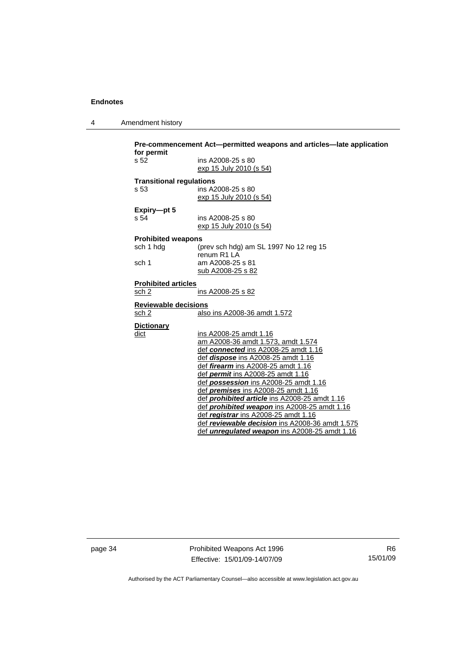| 4 | Amendment history |
|---|-------------------|
|---|-------------------|

| for permit<br>s 52              | ins A2008-25 s 80                                   |
|---------------------------------|-----------------------------------------------------|
|                                 | exp 15 July 2010 (s 54)                             |
|                                 |                                                     |
| <b>Transitional regulations</b> |                                                     |
| s <sub>53</sub>                 | ins A2008-25 s 80                                   |
|                                 | exp 15 July 2010 (s 54)                             |
| Expiry-pt 5                     |                                                     |
| s 54                            | ins A2008-25 s 80                                   |
|                                 | exp 15 July 2010 (s 54)                             |
| <b>Prohibited weapons</b>       |                                                     |
| sch 1 hdg                       | (prev sch hdg) am SL 1997 No 12 reg 15              |
|                                 | renum R1 LA                                         |
| sch 1                           | am A2008-25 s 81                                    |
|                                 | sub A2008-25 s 82                                   |
| <b>Prohibited articles</b>      |                                                     |
| sch 2                           | ins A2008-25 s 82                                   |
| <b>Reviewable decisions</b>     |                                                     |
| sch 2                           | also ins A2008-36 amdt 1.572                        |
| <b>Dictionary</b>               |                                                     |
| dict                            | ins A2008-25 amdt 1.16                              |
|                                 | am A2008-36 amdt 1.573, amdt 1.574                  |
|                                 | def connected ins A2008-25 amdt 1.16                |
|                                 | def <i>dispose</i> ins A2008-25 amdt 1.16           |
|                                 | def <i>firearm</i> ins A2008-25 amdt 1.16           |
|                                 | def <i>permit</i> ins A2008-25 amdt 1.16            |
|                                 | def possession ins A2008-25 amdt 1.16               |
|                                 | def <i>premises</i> ins A2008-25 amdt 1.16          |
|                                 | def prohibited article ins A2008-25 amdt 1.16       |
|                                 | def <b>prohibited weapon</b> ins A2008-25 amdt 1.16 |
|                                 | def <i>registrar</i> ins A2008-25 amdt 1.16         |
|                                 | def reviewable decision ins A2008-36 amdt 1.575     |

page 34 **Prohibited Weapons Act 1996** Effective: 15/01/09-14/07/09

R6 15/01/09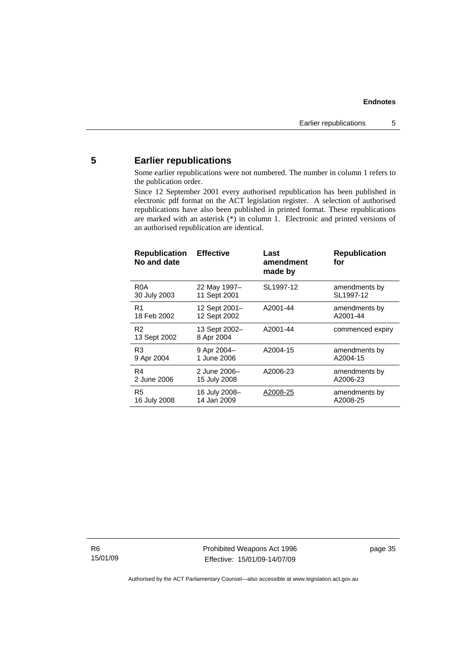### <span id="page-40-0"></span>**5 Earlier republications**

Some earlier republications were not numbered. The number in column 1 refers to the publication order.

Since 12 September 2001 every authorised republication has been published in electronic pdf format on the ACT legislation register. A selection of authorised republications have also been published in printed format. These republications are marked with an asterisk (\*) in column 1. Electronic and printed versions of an authorised republication are identical.

| <b>Republication</b><br>No and date | <b>Effective</b>            | Last<br>amendment<br>made by | <b>Republication</b><br>for |
|-------------------------------------|-----------------------------|------------------------------|-----------------------------|
| R <sub>0</sub> A                    | 22 May 1997-                | SL1997-12                    | amendments by               |
| 30 July 2003                        | 11 Sept 2001                |                              | SL1997-12                   |
| R1                                  | 12 Sept 2001-               | A2001-44                     | amendments by               |
| 18 Feb 2002                         | 12 Sept 2002                |                              | A2001-44                    |
| R <sub>2</sub><br>13 Sept 2002      | 13 Sept 2002-<br>8 Apr 2004 | A2001-44                     | commenced expiry            |
| R3                                  | 9 Apr 2004-                 | A2004-15                     | amendments by               |
| 9 Apr 2004                          | 1 June 2006                 |                              | A2004-15                    |
| R4                                  | 2 June 2006-                | A2006-23                     | amendments by               |
| 2 June 2006                         | 15 July 2008                |                              | A2006-23                    |
| R5                                  | 16 July 2008-               | A2008-25                     | amendments by               |
| 16 July 2008                        | 14 Jan 2009                 |                              | A2008-25                    |

R6 15/01/09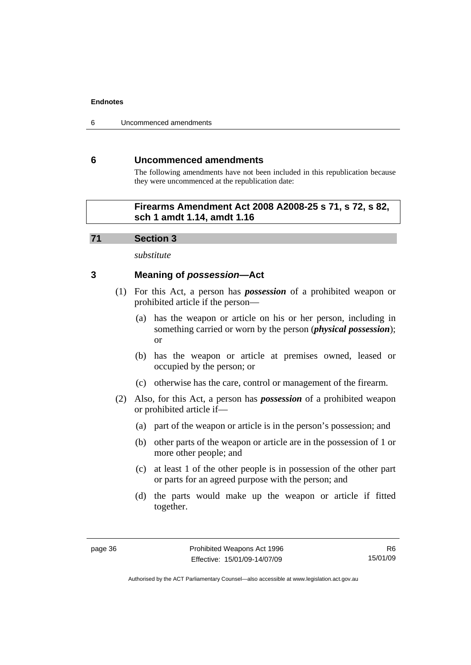<span id="page-41-0"></span>6 Uncommenced amendments

#### **6 Uncommenced amendments**

The following amendments have not been included in this republication because they were uncommenced at the republication date:

### **Firearms Amendment Act 2008 A2008-25 s 71, s 72, s 82, sch 1 amdt 1.14, amdt 1.16**

#### **71 Section 3**

*substitute* 

### **3 Meaning of** *possession***—Act**

- (1) For this Act, a person has *possession* of a prohibited weapon or prohibited article if the person—
	- (a) has the weapon or article on his or her person, including in something carried or worn by the person (*physical possession*); or
	- (b) has the weapon or article at premises owned, leased or occupied by the person; or
	- (c) otherwise has the care, control or management of the firearm.
- (2) Also, for this Act, a person has *possession* of a prohibited weapon or prohibited article if—
	- (a) part of the weapon or article is in the person's possession; and
	- (b) other parts of the weapon or article are in the possession of 1 or more other people; and
	- (c) at least 1 of the other people is in possession of the other part or parts for an agreed purpose with the person; and
	- (d) the parts would make up the weapon or article if fitted together.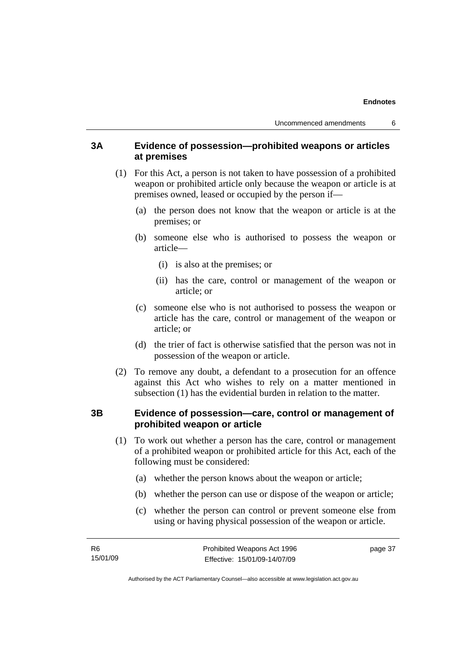### **3A Evidence of possession—prohibited weapons or articles at premises**

- (1) For this Act, a person is not taken to have possession of a prohibited weapon or prohibited article only because the weapon or article is at premises owned, leased or occupied by the person if—
	- (a) the person does not know that the weapon or article is at the premises; or
	- (b) someone else who is authorised to possess the weapon or article—
		- (i) is also at the premises; or
		- (ii) has the care, control or management of the weapon or article; or
	- (c) someone else who is not authorised to possess the weapon or article has the care, control or management of the weapon or article; or
	- (d) the trier of fact is otherwise satisfied that the person was not in possession of the weapon or article.
- (2) To remove any doubt, a defendant to a prosecution for an offence against this Act who wishes to rely on a matter mentioned in subsection (1) has the evidential burden in relation to the matter.

### **3B Evidence of possession—care, control or management of prohibited weapon or article**

- (1) To work out whether a person has the care, control or management of a prohibited weapon or prohibited article for this Act, each of the following must be considered:
	- (a) whether the person knows about the weapon or article;
	- (b) whether the person can use or dispose of the weapon or article;
	- (c) whether the person can control or prevent someone else from using or having physical possession of the weapon or article.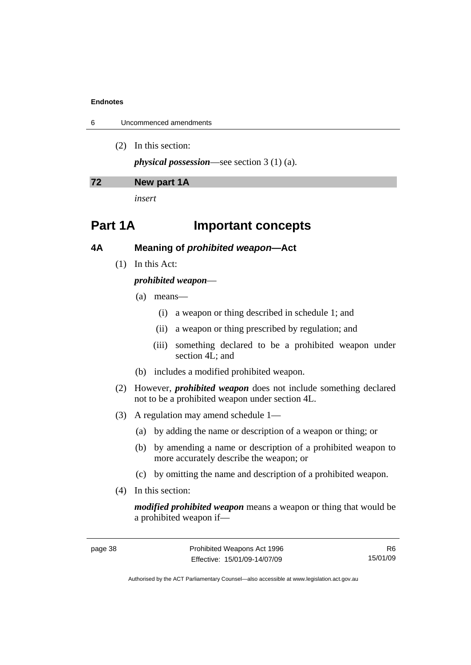|  | Uncommenced amendments |
|--|------------------------|
|--|------------------------|

(2) In this section:

*physical possession*—see section 3 (1) (a).

#### **72 New part 1A**

*insert* 

## **Part 1A Important concepts**

**4A Meaning of** *prohibited weapon***—Act** 

(1) In this Act:

#### *prohibited weapon*—

- (a) means—
	- (i) a weapon or thing described in schedule 1; and
	- (ii) a weapon or thing prescribed by regulation; and
	- (iii) something declared to be a prohibited weapon under section 4L; and
- (b) includes a modified prohibited weapon.
- (2) However, *prohibited weapon* does not include something declared not to be a prohibited weapon under section 4L.
- (3) A regulation may amend schedule 1—
	- (a) by adding the name or description of a weapon or thing; or
	- (b) by amending a name or description of a prohibited weapon to more accurately describe the weapon; or
	- (c) by omitting the name and description of a prohibited weapon.
- (4) In this section:

*modified prohibited weapon* means a weapon or thing that would be a prohibited weapon if—

R6 15/01/09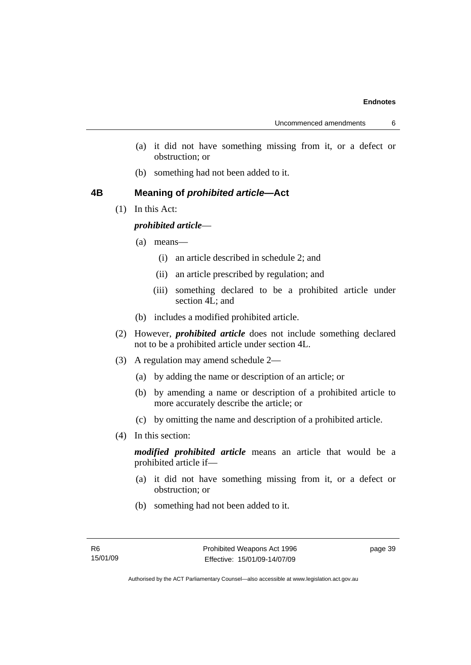- (a) it did not have something missing from it, or a defect or obstruction; or
- (b) something had not been added to it.

### **4B Meaning of** *prohibited article***—Act**

(1) In this Act:

### *prohibited article*—

- (a) means—
	- (i) an article described in schedule 2; and
	- (ii) an article prescribed by regulation; and
	- (iii) something declared to be a prohibited article under section 4L; and
- (b) includes a modified prohibited article.
- (2) However, *prohibited article* does not include something declared not to be a prohibited article under section 4L.
- (3) A regulation may amend schedule 2—
	- (a) by adding the name or description of an article; or
	- (b) by amending a name or description of a prohibited article to more accurately describe the article; or
	- (c) by omitting the name and description of a prohibited article.
- (4) In this section:

*modified prohibited article* means an article that would be a prohibited article if—

- (a) it did not have something missing from it, or a defect or obstruction; or
- (b) something had not been added to it.

page 39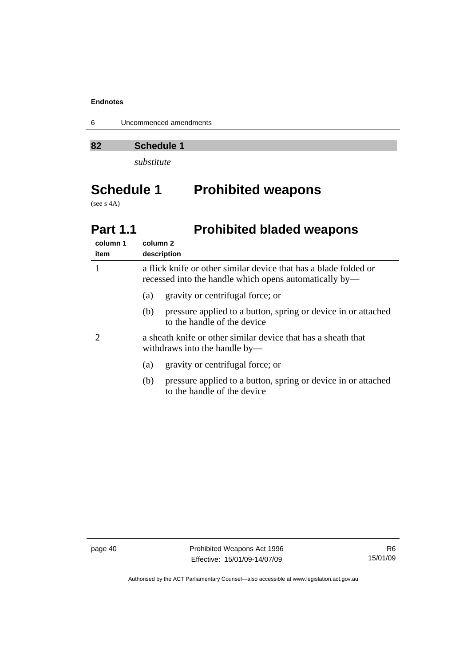6 Uncommenced amendments

**82 Schedule 1** 

*substitute* 

# **Schedule 1 Prohibited weapons**

(see s 4A)

## **Part 1.1** Prohibited bladed weapons

| column 1<br>item | column 2<br>description                                                                                                    |  |
|------------------|----------------------------------------------------------------------------------------------------------------------------|--|
|                  | a flick knife or other similar device that has a blade folded or<br>recessed into the handle which opens automatically by— |  |
|                  | gravity or centrifugal force; or<br>(a)                                                                                    |  |
|                  | pressure applied to a button, spring or device in or attached<br>(b)<br>to the handle of the device                        |  |
|                  | a sheath knife or other similar device that has a sheath that<br>withdraws into the handle by—                             |  |
|                  | gravity or centrifugal force; or<br>(a)                                                                                    |  |
|                  | pressure applied to a button, spring or device in or attached<br>(b)<br>to the handle of the device                        |  |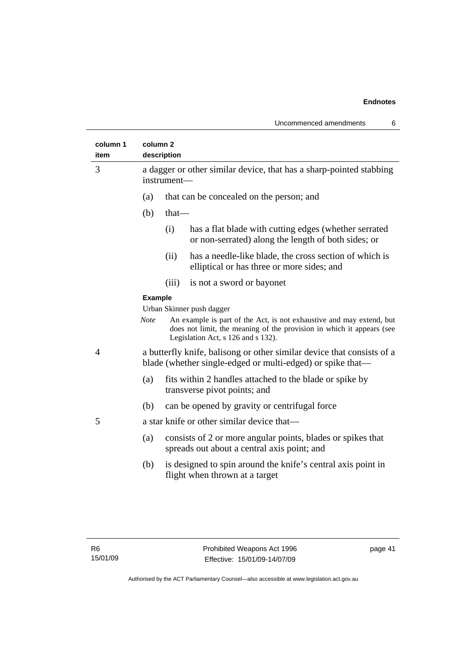| column 1<br>item | column <sub>2</sub> | description                                                                                                                          |                                                                                                                                                                                     |  |
|------------------|---------------------|--------------------------------------------------------------------------------------------------------------------------------------|-------------------------------------------------------------------------------------------------------------------------------------------------------------------------------------|--|
| 3                |                     | a dagger or other similar device, that has a sharp-pointed stabbing<br>instrument-                                                   |                                                                                                                                                                                     |  |
|                  | (a)                 |                                                                                                                                      | that can be concealed on the person; and                                                                                                                                            |  |
|                  | (b)                 | $that$ —                                                                                                                             |                                                                                                                                                                                     |  |
|                  |                     | (i)                                                                                                                                  | has a flat blade with cutting edges (whether serrated<br>or non-serrated) along the length of both sides; or                                                                        |  |
|                  |                     | (ii)                                                                                                                                 | has a needle-like blade, the cross section of which is<br>elliptical or has three or more sides; and                                                                                |  |
|                  |                     | (iii)                                                                                                                                | is not a sword or bayonet                                                                                                                                                           |  |
|                  | <b>Example</b>      |                                                                                                                                      |                                                                                                                                                                                     |  |
|                  |                     |                                                                                                                                      | Urban Skinner push dagger                                                                                                                                                           |  |
|                  | <b>Note</b>         |                                                                                                                                      | An example is part of the Act, is not exhaustive and may extend, but<br>does not limit, the meaning of the provision in which it appears (see<br>Legislation Act, s 126 and s 132). |  |
| 4                |                     | a butterfly knife, balisong or other similar device that consists of a<br>blade (whether single-edged or multi-edged) or spike that— |                                                                                                                                                                                     |  |
|                  | (a)                 | fits within 2 handles attached to the blade or spike by<br>transverse pivot points; and                                              |                                                                                                                                                                                     |  |
|                  | (b)                 |                                                                                                                                      | can be opened by gravity or centrifugal force                                                                                                                                       |  |
| 5                |                     |                                                                                                                                      | a star knife or other similar device that—                                                                                                                                          |  |
|                  | (a)                 |                                                                                                                                      | consists of 2 or more angular points, blades or spikes that<br>spreads out about a central axis point; and                                                                          |  |
|                  | (b)                 |                                                                                                                                      | is designed to spin around the knife's central axis point in<br>flight when thrown at a target                                                                                      |  |
|                  |                     |                                                                                                                                      |                                                                                                                                                                                     |  |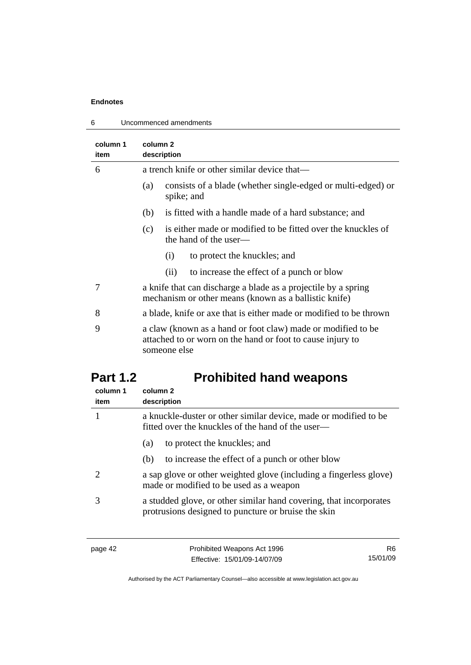6 Uncommenced amendments

| column 1<br>item | column 2<br>description                                                                                                                    |
|------------------|--------------------------------------------------------------------------------------------------------------------------------------------|
| 6                | a trench knife or other similar device that—                                                                                               |
|                  | consists of a blade (whether single-edged or multi-edged) or<br>(a)<br>spike; and                                                          |
|                  | is fitted with a handle made of a hard substance; and<br>(b)                                                                               |
|                  | is either made or modified to be fitted over the knuckles of<br>(c)<br>the hand of the user—                                               |
|                  | to protect the knuckles; and<br>(i)                                                                                                        |
|                  | to increase the effect of a punch or blow<br>(ii)                                                                                          |
| 7                | a knife that can discharge a blade as a projectile by a spring<br>mechanism or other means (known as a ballistic knife)                    |
| 8                | a blade, knife or axe that is either made or modified to be thrown                                                                         |
| 9                | a claw (known as a hand or foot claw) made or modified to be<br>attached to or worn on the hand or foot to cause injury to<br>someone else |

# **Part 1.2 Prohibited hand weapons**

| column 1<br>item | column 2<br>description                                                                                                   |
|------------------|---------------------------------------------------------------------------------------------------------------------------|
|                  | a knuckle-duster or other similar device, made or modified to be<br>fitted over the knuckles of the hand of the user—     |
|                  | to protect the knuckles; and<br>(a)                                                                                       |
|                  | to increase the effect of a punch or other blow<br>(b)                                                                    |
|                  | a sap glove or other weighted glove (including a fingerless glove)<br>made or modified to be used as a weapon             |
|                  | a studded glove, or other similar hand covering, that incorporates<br>protrusions designed to puncture or bruise the skin |

| page 42 |  |
|---------|--|
|---------|--|

page 42 **Prohibited Weapons Act 1996** Effective: 15/01/09-14/07/09

R6 15/01/09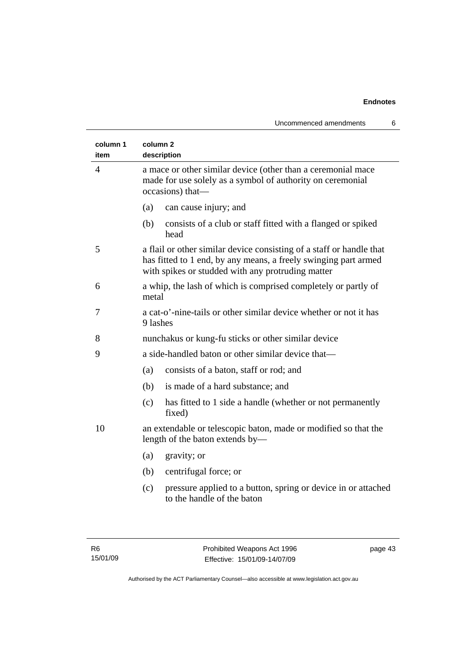| column 1<br>item | column <sub>2</sub><br>description                                                                                                                                                           |  |  |
|------------------|----------------------------------------------------------------------------------------------------------------------------------------------------------------------------------------------|--|--|
| 4                | a mace or other similar device (other than a ceremonial mace<br>made for use solely as a symbol of authority on ceremonial<br>occasions) that-                                               |  |  |
|                  | (a)<br>can cause injury; and                                                                                                                                                                 |  |  |
|                  | (b)<br>consists of a club or staff fitted with a flanged or spiked<br>head                                                                                                                   |  |  |
| 5                | a flail or other similar device consisting of a staff or handle that<br>has fitted to 1 end, by any means, a freely swinging part armed<br>with spikes or studded with any protruding matter |  |  |
| 6                | a whip, the lash of which is comprised completely or partly of<br>metal                                                                                                                      |  |  |
| 7                | a cat-o'-nine-tails or other similar device whether or not it has<br>9 lashes                                                                                                                |  |  |
| 8                | nunchakus or kung-fu sticks or other similar device                                                                                                                                          |  |  |
| 9                | a side-handled baton or other similar device that-                                                                                                                                           |  |  |
|                  | consists of a baton, staff or rod; and<br>(a)                                                                                                                                                |  |  |
|                  | is made of a hard substance; and<br>(b)                                                                                                                                                      |  |  |
|                  | has fitted to 1 side a handle (whether or not permanently<br>(c)<br>fixed)                                                                                                                   |  |  |
| 10               | an extendable or telescopic baton, made or modified so that the<br>length of the baton extends by—                                                                                           |  |  |
|                  | (a)<br>gravity; or                                                                                                                                                                           |  |  |
|                  | centrifugal force; or<br>(b)                                                                                                                                                                 |  |  |
|                  | pressure applied to a button, spring or device in or attached<br>(c)<br>to the handle of the baton                                                                                           |  |  |
|                  |                                                                                                                                                                                              |  |  |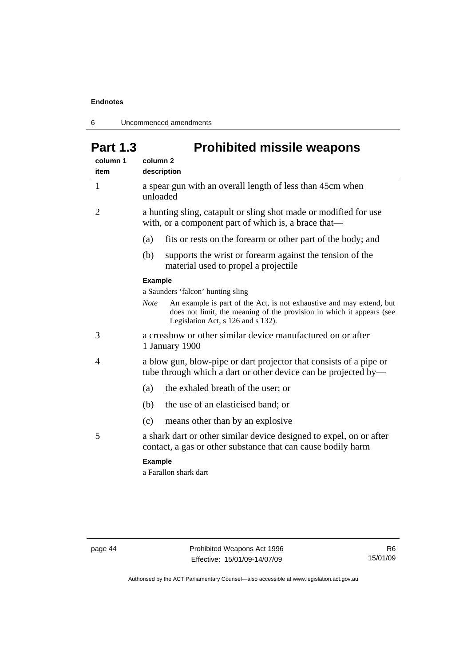6 Uncommenced amendments

# Part 1.3 **Prohibited missile weapons**

| column 1<br>item | column <sub>2</sub><br>description                                                                                                                                                                 |  |
|------------------|----------------------------------------------------------------------------------------------------------------------------------------------------------------------------------------------------|--|
| $\mathbf{1}$     | a spear gun with an overall length of less than 45cm when<br>unloaded                                                                                                                              |  |
| 2                | a hunting sling, catapult or sling shot made or modified for use<br>with, or a component part of which is, a brace that—                                                                           |  |
|                  | (a)<br>fits or rests on the forearm or other part of the body; and                                                                                                                                 |  |
|                  | supports the wrist or forearm against the tension of the<br>(b)<br>material used to propel a projectile                                                                                            |  |
|                  | <b>Example</b>                                                                                                                                                                                     |  |
|                  | a Saunders 'falcon' hunting sling                                                                                                                                                                  |  |
|                  | An example is part of the Act, is not exhaustive and may extend, but<br><b>Note</b><br>does not limit, the meaning of the provision in which it appears (see<br>Legislation Act, s 126 and s 132). |  |
| 3                | a crossbow or other similar device manufactured on or after<br>1 January 1900                                                                                                                      |  |
| 4                | a blow gun, blow-pipe or dart projector that consists of a pipe or<br>tube through which a dart or other device can be projected by—                                                               |  |
|                  | the exhaled breath of the user; or<br>(a)                                                                                                                                                          |  |
|                  | the use of an elasticised band; or<br>(b)                                                                                                                                                          |  |
|                  | means other than by an explosive<br>(c)                                                                                                                                                            |  |
| 5                | a shark dart or other similar device designed to expel, on or after<br>contact, a gas or other substance that can cause bodily harm                                                                |  |
|                  | <b>Example</b><br>a Farallon shark dart                                                                                                                                                            |  |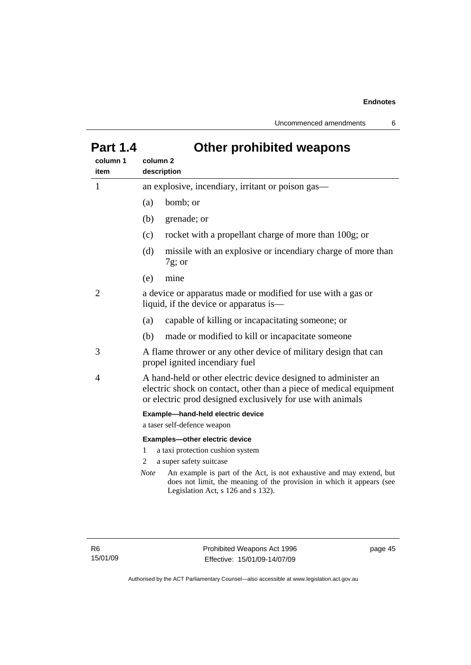Uncommenced amendments 6

| ui l     |             | zulul promontoa woapono                                                                                                                                                                            |  |
|----------|-------------|----------------------------------------------------------------------------------------------------------------------------------------------------------------------------------------------------|--|
| column 1 | column 2    |                                                                                                                                                                                                    |  |
| item     | description |                                                                                                                                                                                                    |  |
| 1        |             | an explosive, incendiary, irritant or poison gas—                                                                                                                                                  |  |
|          | (a)         | bomb; or                                                                                                                                                                                           |  |
|          | (b)         | grenade; or                                                                                                                                                                                        |  |
|          | (c)         | rocket with a propellant charge of more than 100g; or                                                                                                                                              |  |
|          | (d)         | missile with an explosive or incendiary charge of more than<br>$7g$ ; or                                                                                                                           |  |
|          | (e)         | mine                                                                                                                                                                                               |  |
| 2        |             | a device or apparatus made or modified for use with a gas or<br>liquid, if the device or apparatus is—                                                                                             |  |
|          | (a)         | capable of killing or incapacitating someone; or                                                                                                                                                   |  |
|          | (b)         | made or modified to kill or incapacitate someone                                                                                                                                                   |  |
| 3        |             | A flame thrower or any other device of military design that can<br>propel ignited incendiary fuel                                                                                                  |  |
| 4        |             | A hand-held or other electric device designed to administer an<br>electric shock on contact, other than a piece of medical equipment<br>or electric prod designed exclusively for use with animals |  |
|          |             | Example-hand-held electric device<br>a taser self-defence weapon                                                                                                                                   |  |
|          | 1<br>2      | Examples-other electric device<br>a taxi protection cushion system<br>a super safety suitcase                                                                                                      |  |
|          | <i>Note</i> | An example is part of the Act, is not exhaustive and may extend, but<br>does not limit, the meaning of the provision in which it appears (see<br>Legislation Act, s 126 and s 132).                |  |
|          |             |                                                                                                                                                                                                    |  |

## **Part 1.4 Other prohibited weapons**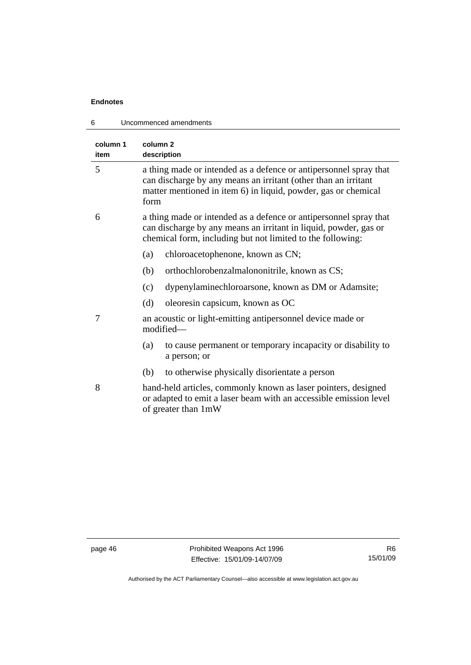| Uncommenced amendments<br>6 |                                                                                                                                                                                                               |  |
|-----------------------------|---------------------------------------------------------------------------------------------------------------------------------------------------------------------------------------------------------------|--|
| column 1<br>item            | column <sub>2</sub><br>description                                                                                                                                                                            |  |
| 5                           | a thing made or intended as a defence or antipersonnel spray that<br>can discharge by any means an irritant (other than an irritant<br>matter mentioned in item 6) in liquid, powder, gas or chemical<br>form |  |
| 6                           | a thing made or intended as a defence or antipersonnel spray that<br>can discharge by any means an irritant in liquid, powder, gas or<br>chemical form, including but not limited to the following:           |  |
|                             | (a)<br>chloroacetophenone, known as CN;                                                                                                                                                                       |  |
|                             | (b)<br>orthochlorobenzalmalononitrile, known as CS;                                                                                                                                                           |  |
|                             | dypenylaminechloroarsone, known as DM or Adamsite;<br>(c)                                                                                                                                                     |  |
|                             | (d)<br>oleoresin capsicum, known as OC                                                                                                                                                                        |  |
| 7                           | an acoustic or light-emitting antipersonnel device made or<br>modified-                                                                                                                                       |  |
|                             | (a)<br>to cause permanent or temporary incapacity or disability to<br>a person; or                                                                                                                            |  |
|                             | to otherwise physically disorientate a person<br>(b)                                                                                                                                                          |  |
| 8                           | hand-held articles, commonly known as laser pointers, designed<br>or adapted to emit a laser beam with an accessible emission level<br>of greater than 1mW                                                    |  |
|                             |                                                                                                                                                                                                               |  |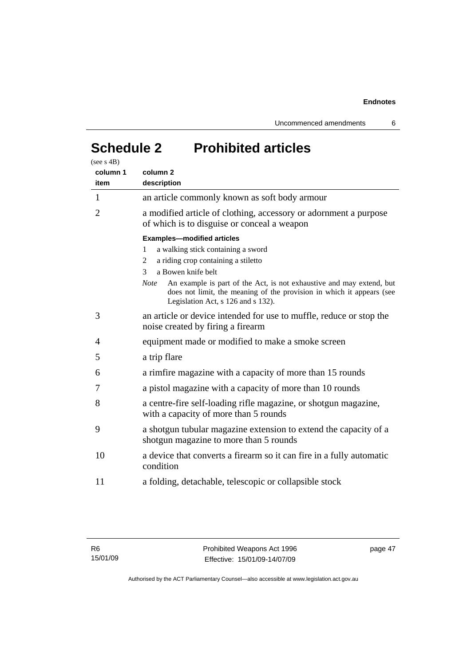Uncommenced amendments 6

# **Schedule 2 Prohibited articles**

| (see s 4B)<br>column 1<br>item | column <sub>2</sub><br>description                                                                                                                                                                                                                                                                                                                        |
|--------------------------------|-----------------------------------------------------------------------------------------------------------------------------------------------------------------------------------------------------------------------------------------------------------------------------------------------------------------------------------------------------------|
| 1                              | an article commonly known as soft body armour                                                                                                                                                                                                                                                                                                             |
| $\overline{2}$                 | a modified article of clothing, accessory or adornment a purpose<br>of which is to disguise or conceal a weapon                                                                                                                                                                                                                                           |
|                                | <b>Examples-modified articles</b><br>a walking stick containing a sword<br>1<br>a riding crop containing a stiletto<br>2<br>a Bowen knife belt<br>3<br>An example is part of the Act, is not exhaustive and may extend, but<br><b>Note</b><br>does not limit, the meaning of the provision in which it appears (see<br>Legislation Act, s 126 and s 132). |
| 3                              | an article or device intended for use to muffle, reduce or stop the<br>noise created by firing a firearm                                                                                                                                                                                                                                                  |
| 4                              | equipment made or modified to make a smoke screen                                                                                                                                                                                                                                                                                                         |
| 5                              | a trip flare                                                                                                                                                                                                                                                                                                                                              |
| 6                              | a rimfire magazine with a capacity of more than 15 rounds                                                                                                                                                                                                                                                                                                 |
| 7                              | a pistol magazine with a capacity of more than 10 rounds                                                                                                                                                                                                                                                                                                  |
| 8                              | a centre-fire self-loading rifle magazine, or shotgun magazine,<br>with a capacity of more than 5 rounds                                                                                                                                                                                                                                                  |
| 9                              | a shotgun tubular magazine extension to extend the capacity of a<br>shotgun magazine to more than 5 rounds                                                                                                                                                                                                                                                |
| 10                             | a device that converts a firearm so it can fire in a fully automatic<br>condition                                                                                                                                                                                                                                                                         |
| 11                             | a folding, detachable, telescopic or collapsible stock                                                                                                                                                                                                                                                                                                    |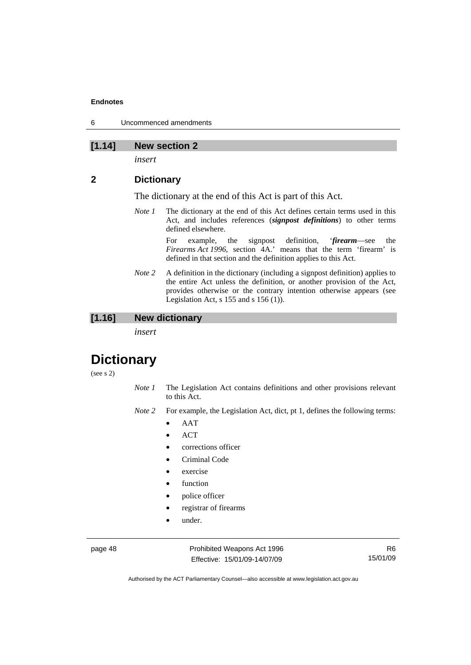6 Uncommenced amendments

### **[1.14] New section 2**

*insert* 

#### **2 Dictionary**

The dictionary at the end of this Act is part of this Act.

*Note 1* The dictionary at the end of this Act defines certain terms used in this Act, and includes references (*signpost definitions*) to other terms defined elsewhere.

> For example, the signpost definition, '*firearm*—see the *Firearms Act 1996*, section 4A.' means that the term 'firearm' is defined in that section and the definition applies to this Act.

*Note 2* A definition in the dictionary (including a signpost definition) applies to the entire Act unless the definition, or another provision of the Act, provides otherwise or the contrary intention otherwise appears (see Legislation Act, s  $155$  and s  $156$  (1)).

### **[1.16] New dictionary**

*insert* 

## **Dictionary**

(see s 2)

- *Note 1* The Legislation Act contains definitions and other provisions relevant to this Act.
- *Note 2* For example, the Legislation Act, dict, pt 1, defines the following terms:
	- AAT
	- ACT
	- corrections officer
	- Criminal Code
	- exercise
	- function
	- police officer
	- registrar of firearms
	- under.

page 48 Prohibited Weapons Act 1996 Effective: 15/01/09-14/07/09

R6 15/01/09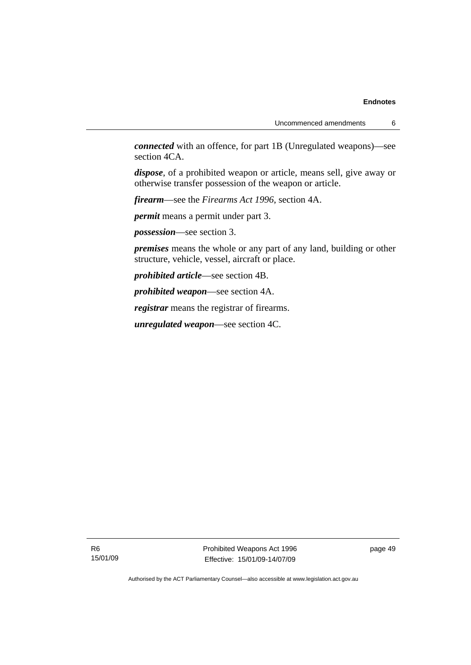*connected* with an offence, for part 1B (Unregulated weapons)—see section 4CA.

*dispose*, of a prohibited weapon or article, means sell, give away or otherwise transfer possession of the weapon or article.

*firearm*—see the *Firearms Act 1996*, section 4A.

*permit* means a permit under part 3.

*possession*—see section 3.

*premises* means the whole or any part of any land, building or other structure, vehicle, vessel, aircraft or place.

*prohibited article*—see section 4B.

*prohibited weapon*—see section 4A.

*registrar* means the registrar of firearms.

*unregulated weapon*—see section 4C.

R6 15/01/09 Prohibited Weapons Act 1996 Effective: 15/01/09-14/07/09

page 49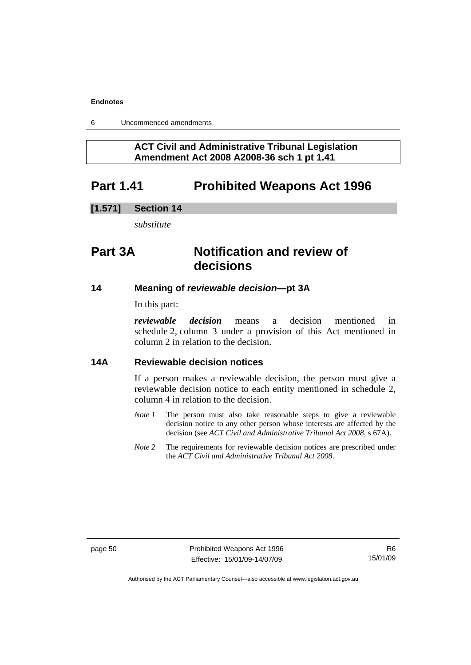6 Uncommenced amendments

### **ACT Civil and Administrative Tribunal Legislation Amendment Act 2008 A2008-36 sch 1 pt 1.41**

## **Part 1.41 Prohibited Weapons Act 1996**

#### **[1.571] Section 14**

*substitute* 

## **Part 3A Notification and review of decisions**

#### **14 Meaning of** *reviewable decision—***pt 3A**

In this part:

*reviewable decision* means a decision mentioned in schedule 2, column 3 under a provision of this Act mentioned in column 2 in relation to the decision.

#### **14A Reviewable decision notices**

If a person makes a reviewable decision, the person must give a reviewable decision notice to each entity mentioned in schedule 2, column 4 in relation to the decision.

- *Note 1* The person must also take reasonable steps to give a reviewable decision notice to any other person whose interests are affected by the decision (see *ACT Civil and Administrative Tribunal Act 2008*, s 67A).
- *Note* 2 The requirements for reviewable decision notices are prescribed under the *ACT Civil and Administrative Tribunal Act 2008*.

page 50 **Prohibited Weapons Act 1996** Effective: 15/01/09-14/07/09

R6 15/01/09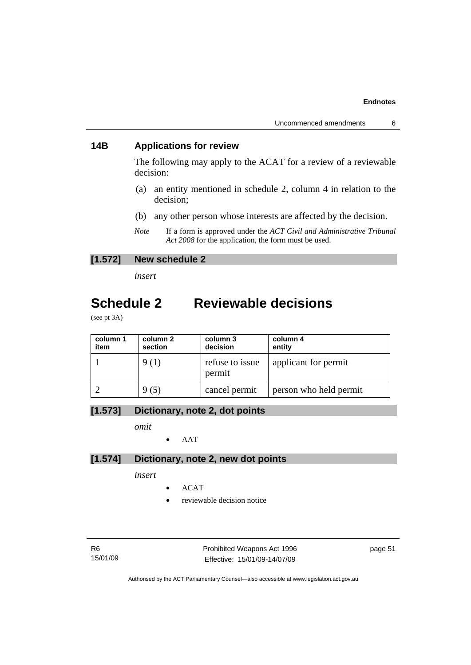### **14B Applications for review**

The following may apply to the ACAT for a review of a reviewable decision:

- (a) an entity mentioned in schedule 2, column 4 in relation to the decision;
- (b) any other person whose interests are affected by the decision.
- *Note* If a form is approved under the *ACT Civil and Administrative Tribunal Act 2008* for the application, the form must be used.

#### **[1.572] New schedule 2**

*insert* 

## **Schedule 2 Reviewable decisions**

(see pt 3A)

| column 1<br>item | column 2<br>section | column 3<br>decision      | column 4<br>entity     |
|------------------|---------------------|---------------------------|------------------------|
|                  | 9(1)                | refuse to issue<br>permit | applicant for permit   |
|                  | 9 (5)               | cancel permit             | person who held permit |

### **[1.573] Dictionary, note 2, dot points**

*omit* 

• AAT

### **[1.574] Dictionary, note 2, new dot points**

*insert* 

- ACAT
- reviewable decision notice

R6 15/01/09 Prohibited Weapons Act 1996 Effective: 15/01/09-14/07/09

page 51